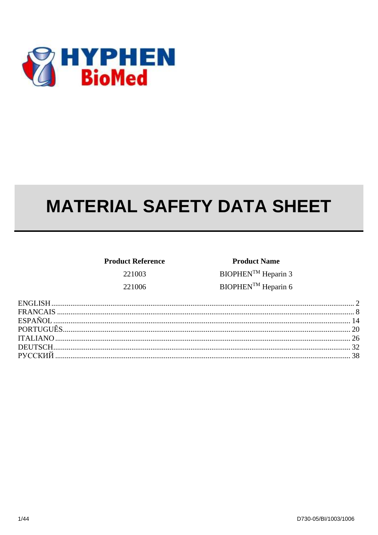

# **MATERIAL SAFETY DATA SHEET**

| <b>Product Reference</b> |  |  |
|--------------------------|--|--|
| 221003                   |  |  |
| 221006                   |  |  |

**Product Name** BIOPHEN<sup>™</sup> Heparin 3 BIOPHEN<sup>TM</sup> Heparin 6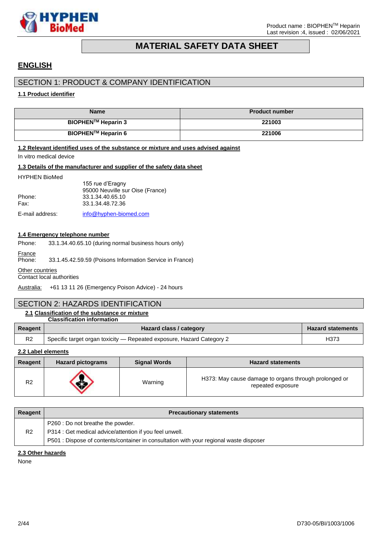

# **MATERIAL SAFETY DATA SHEET**

# <span id="page-1-0"></span>**ENGLISH**

# SECTION 1: PRODUCT & COMPANY IDENTIFICATION

### **1.1 Product identifier**

| <b>Name</b>               | <b>Product number</b> |
|---------------------------|-----------------------|
| <b>BIOPHEN™ Heparin 3</b> | 221003                |
| <b>BIOPHEN™ Heparin 6</b> | 221006                |

#### **1.2 Relevant identified uses of the substance or mixture and uses advised against**

In vitro medical device

#### **1.3 Details of the manufacturer and supplier of the safety data sheet**

#### HYPHEN BioMed

|                 | 155 rue d'Eragny                 |
|-----------------|----------------------------------|
|                 | 95000 Neuville sur Oise (France) |
| Phone:          | 33.1.34.40.65.10                 |
| Fax:            | 33.1.34.48.72.36                 |
| E-mail address: | info@hyphen-biomed.com           |

#### **1.4 Emergency telephone number**

- Phone: 33.1.34.40.65.10 (during normal business hours only)
- France

Phone: 33.1.45.42.59.59 (Poisons Information Service in France)

#### **Other countries**

Contact local authorities

Australia: +61 13 11 26 (Emergency Poison Advice) - 24 hours

# SECTION 2: HAZARDS IDENTIFICATION

#### **2.1 Classification of the substance or mixture Classification information**

|                | olussiilvuuvil Illivilluuvil                                          |                          |
|----------------|-----------------------------------------------------------------------|--------------------------|
| Reagent        | Hazard class / category                                               | <b>Hazard statements</b> |
| R <sub>2</sub> | Specific target organ toxicity — Repeated exposure, Hazard Category 2 | H373                     |

**2.2 Label elements**

| Reagent        | <b>Hazard pictograms</b> | <b>Signal Words</b> | <b>Hazard statements</b>                                                   |
|----------------|--------------------------|---------------------|----------------------------------------------------------------------------|
| R <sub>2</sub> |                          | Warning             | H373: May cause damage to organs through prolonged or<br>repeated exposure |

| Reagent        | <b>Precautionary statements</b>                                                                                                                                                        |
|----------------|----------------------------------------------------------------------------------------------------------------------------------------------------------------------------------------|
| R <sub>2</sub> | P260 : Do not breathe the powder.<br>P314 : Get medical advice/attention if you feel unwell.<br>P501 : Dispose of contents/container in consultation with your regional waste disposer |

### **2.3 Other hazards**

None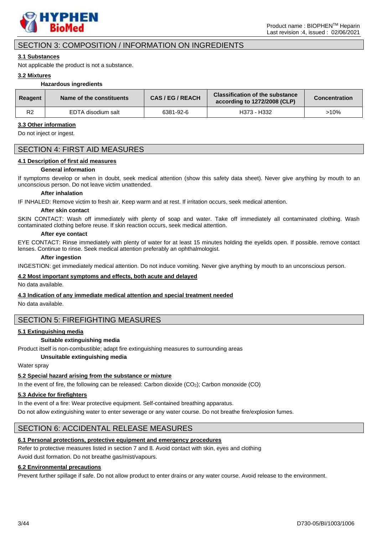

# SECTION 3: COMPOSITION / INFORMATION ON INGREDIENTS

#### **3.1 Substances**

Not applicable the product is not a substance.

#### **3.2 Mixtures**

#### **Hazardous ingredients**

| Reagent        | Name of the constituents | <b>CAS/EG/REACH</b> | <b>Classification of the substance</b><br>according to 1272/2008 (CLP) | <b>Concentration</b> |
|----------------|--------------------------|---------------------|------------------------------------------------------------------------|----------------------|
| R <sub>2</sub> | EDTA disodium salt       | 6381-92-6           | H373 - H332                                                            | >10%                 |

#### **3.3 Other information**

Do not inject or ingest.

### SECTION 4: FIRST AID MEASURES

#### **4.1 Description of first aid measures**

#### **General information**

If symptoms develop or when in doubt, seek medical attention (show this safety data sheet). Never give anything by mouth to an unconscious person. Do not leave victim unattended.

#### **After inhalation**

IF INHALED: Remove victim to fresh air. Keep warm and at rest. If irritation occurs, seek medical attention.

#### **After skin contact**

SKIN CONTACT: Wash off immediately with plenty of soap and water. Take off immediately all contaminated clothing. Wash contaminated clothing before reuse. If skin reaction occurs, seek medical attention.

#### **After eye contact**

EYE CONTACT: Rinse immediately with plenty of water for at least 15 minutes holding the eyelids open. If possible. remove contact lenses. Continue to rinse. Seek medical attention preferably an ophthalmologist.

#### **After ingestion**

INGESTION: get immediately medical attention. Do not induce vomiting. Never give anything by mouth to an unconscious person.

#### **4.2 Most important symptoms and effects, both acute and delayed**

No data available.

### **4.3 Indication of any immediate medical attention and special treatment needed**

No data available.

### SECTION 5: FIREFIGHTING MEASURES

### **5.1 Extinguishing media**

#### **Suitable extinguishing media**

Product itself is non-combustible; adapt fire extinguishing measures to surrounding areas

#### **Unsuitable extinguishing media**

Water spray

### **5.2 Special hazard arising from the substance or mixture**

In the event of fire, the following can be released: Carbon dioxide  $(CO<sub>2</sub>)$ ; Carbon monoxide  $(CO)$ 

### **5.3 Advice for firefighters**

In the event of a fire: Wear protective equipment. Self-contained breathing apparatus.

Do not allow extinguishing water to enter sewerage or any water course. Do not breathe fire/explosion fumes.

# SECTION 6: ACCIDENTAL RELEASE MEASURES

### **6.1 Personal protections, protective equipment and emergency procedures**

Refer to protective measures listed in section 7 and 8. Avoid contact with skin, eyes and clothing

Avoid dust formation. Do not breathe gas/mist/vapours.

### **6.2 Environmental precautions**

Prevent further spillage if safe. Do not allow product to enter drains or any water course. Avoid release to the environment.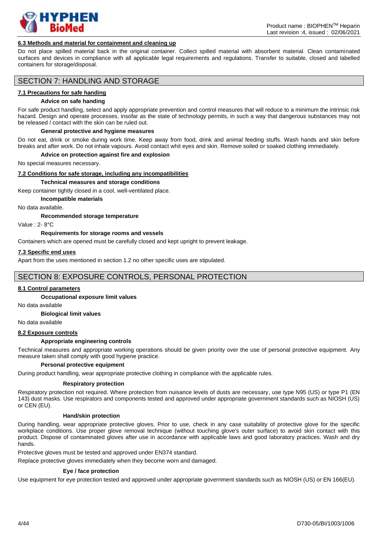

#### **6.3 Methods and material for containment and cleaning up**

Do not place spilled material back in the original container. Collect spilled material with absorbent material. Clean contaminated surfaces and devices in compliance with all applicable legal requirements and regulations. Transfer to suitable, closed and labelled containers for storage/disposal.

### SECTION 7: HANDLING AND STORAGE

#### **7.1 Precautions for safe handing**

#### **Advice on safe handing**

For safe product handling, select and apply appropriate prevention and control measures that will reduce to a minimum the intrinsic risk hazard. Design and operate processes, insofar as the state of technology permits, in such a way that dangerous substances may not be released / contact with the skin can be ruled out.

#### **General protective and hygiene measures**

Do not eat, drink or smoke during work time. Keep away from food, drink and animal feeding stuffs. Wash hands and skin before breaks and after work. Do not inhale vapours. Avoid contact whit eyes and skin. Remove soiled or soaked clothing immediately.

#### **Advice on protection against fire and explosion**

No special measures necessary.

#### **7.2 Conditions for safe storage, including any incompatibilities**

#### **Technical measures and storage conditions**

Keep container tightly closed in a cool, well-ventilated place.

**Incompatible materials**

No data available.

#### **Recommended storage temperature**

Value : 2- 8°C

#### **Requirements for storage rooms and vessels**

Containers which are opened must be carefully closed and kept upright to prevent leakage.

#### **7.3 Specific end uses**

Apart from the uses mentioned in section 1.2 no other specific uses are stipulated.

### SECTION 8: EXPOSURE CONTROLS, PERSONAL PROTECTION

#### **8.1 Control parameters**

**Occupational exposure limit values** 

No data available

**Biological limit values**

No data available

### **8.2 Exposure controls**

#### **Appropriate engineering controls**

Technical measures and appropriate working operations should be given priority over the use of personal protective equipment. Any measure taken shall comply with good hygiene practice.

#### **Personal protective equipment**

During product handling, wear appropriate protective clothing in compliance with the applicable rules.

#### **Respiratory protection**

Respiratory protection not required. Where protection from nuisance levels of dusts are necessary, use type N95 (US) or type P1 (EN 143) dust masks. Use respirators and components tested and approved under appropriate government standards such as NIOSH (US) or CEN (EU).

#### **Hand/skin protection**

During handling, wear appropriate protective gloves. Prior to use, check in any case suitability of protective glove for the specific workplace conditions. Use proper glove removal technique (without touching glove's outer surface) to avoid skin contact with this product. Dispose of contaminated gloves after use in accordance with applicable laws and good laboratory practices. Wash and dry hands.

Protective gloves must be tested and approved under EN374 standard.

Replace protective gloves immediately when they become worn and damaged.

#### **Eye / face protection**

Use equipment for eye protection tested and approved under appropriate government standards such as NIOSH (US) or EN 166(EU).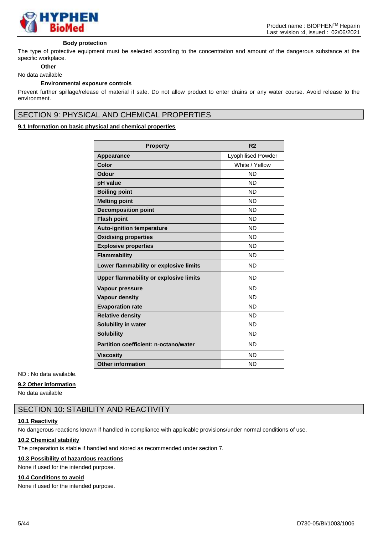

#### **Body protection**

The type of protective equipment must be selected according to the concentration and amount of the dangerous substance at the specific workplace.

# **Other**

#### No data available

#### **Environmental exposure controls**

Prevent further spillage/release of material if safe. Do not allow product to enter drains or any water course. Avoid release to the environment.

# SECTION 9: PHYSICAL AND CHEMICAL PROPERTIES

### **9.1 Information on basic physical and chemical properties**

| <b>Property</b>                        | R <sub>2</sub>            |
|----------------------------------------|---------------------------|
| Appearance                             | <b>Lyophilised Powder</b> |
| Color                                  | White / Yellow            |
| Odour                                  | <b>ND</b>                 |
| pH value                               | <b>ND</b>                 |
| <b>Boiling point</b>                   | <b>ND</b>                 |
| <b>Melting point</b>                   | <b>ND</b>                 |
| <b>Decomposition point</b>             | <b>ND</b>                 |
| <b>Flash point</b>                     | <b>ND</b>                 |
| <b>Auto-ignition temperature</b>       | <b>ND</b>                 |
| <b>Oxidising properties</b>            | <b>ND</b>                 |
| <b>Explosive properties</b>            | <b>ND</b>                 |
| <b>Flammability</b>                    | ND.                       |
| Lower flammability or explosive limits | <b>ND</b>                 |
| Upper flammability or explosive limits | ND.                       |
| Vapour pressure                        | <b>ND</b>                 |
| <b>Vapour density</b>                  | <b>ND</b>                 |
| <b>Evaporation rate</b>                | <b>ND</b>                 |
| <b>Relative density</b>                | <b>ND</b>                 |
| <b>Solubility in water</b>             | <b>ND</b>                 |
| <b>Solubility</b>                      | <b>ND</b>                 |
| Partition coefficient: n-octano/water  | <b>ND</b>                 |
| <b>Viscosity</b>                       | <b>ND</b>                 |
| <b>Other information</b>               | <b>ND</b>                 |

ND : No data available.

#### **9.2 Other information**

No data available

# SECTION 10: STABILITY AND REACTIVITY

### **10.1 Reactivity**

No dangerous reactions known if handled in compliance with applicable provisions/under normal conditions of use.

#### **10.2 Chemical stability**

The preparation is stable if handled and stored as recommended under section 7.

#### **10.3 Possibility of hazardous reactions**

None if used for the intended purpose.

#### **10.4 Conditions to avoid**

None if used for the intended purpose.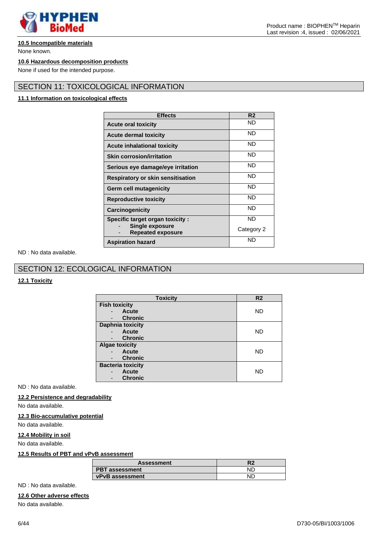

#### **10.5 Incompatible materials**

None known.

#### **10.6 Hazardous decomposition products**

None if used for the intended purpose.

# SECTION 11: TOXICOLOGICAL INFORMATION

#### **11.1 Information on toxicological effects**

| <b>Effects</b>                                     | R2         |
|----------------------------------------------------|------------|
| <b>Acute oral toxicity</b>                         | ND         |
| <b>Acute dermal toxicity</b>                       | ND         |
| <b>Acute inhalational toxicity</b>                 | ND         |
| <b>Skin corrosion/irritation</b>                   | ND         |
| Serious eye damage/eye irritation                  | ND         |
| <b>Respiratory or skin sensitisation</b>           | ND         |
| <b>Germ cell mutagenicity</b>                      | ND         |
| <b>Reproductive toxicity</b>                       | ND         |
| <b>Carcinogenicity</b>                             | ND         |
| <b>Specific target organ toxicity:</b>             | ND         |
| <b>Single exposure</b><br><b>Repeated exposure</b> | Category 2 |
| <b>Aspiration hazard</b>                           | ND         |

ND : No data available.

# SECTION 12: ECOLOGICAL INFORMATION

### **12.1 Toxicity**

| <b>Toxicity</b>                          | R <sub>2</sub> |
|------------------------------------------|----------------|
| <b>Fish toxicity</b>                     |                |
| Acute                                    | ND.            |
| <b>Chronic</b>                           |                |
| <b>Daphnia toxicity</b>                  |                |
| Acute<br>$\overline{\phantom{0}}$        | ND             |
| <b>Chronic</b>                           |                |
| <b>Algae toxicity</b>                    |                |
| <b>Acute</b><br>$\overline{\phantom{a}}$ | ND             |
| <b>Chronic</b><br>-                      |                |
| <b>Bacteria toxicity</b>                 |                |
| Acute                                    | ND             |
| <b>Chronic</b>                           |                |

ND : No data available.

#### **12.2 Persistence and degradability**

No data available.

#### **12.3 Bio-accumulative potential**

No data available.

### **12.4 Mobility in soil**

No data available.

#### **12.5 Results of PBT and vPvB assessment**

| <b>Assessment</b>      |  |
|------------------------|--|
| <b>PBT</b> assessment  |  |
| <b>vPvB</b> assessment |  |

ND : No data available.

#### **12.6 Other adverse effects**

No data available.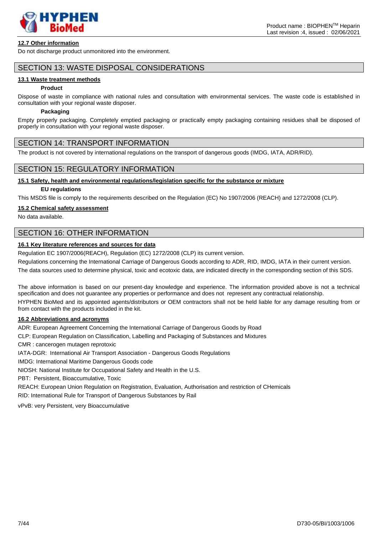

### **12.7 Other information**

Do not discharge product unmonitored into the environment.

### SECTION 13: WASTE DISPOSAL CONSIDERATIONS

#### **13.1 Waste treatment methods**

#### **Product**

Dispose of waste in compliance with national rules and consultation with environmental services. The waste code is established in consultation with your regional waste disposer.

#### **Packaging**

Empty properly packaging. Completely emptied packaging or practically empty packaging containing residues shall be disposed of properly in consultation with your regional waste disposer.

### SECTION 14: TRANSPORT INFORMATION

The product is not covered by international regulations on the transport of dangerous goods (IMDG, IATA, ADR/RID).

### SECTION 15: REGULATORY INFORMATION

#### **15.1 Safety, health and environmental regulations/legislation specific for the substance or mixture**

#### **EU regulations**

This MSDS file is comply to the requirements described on the Regulation (EC) No 1907/2006 (REACH) and 1272/2008 (CLP).

#### **15.2 Chemical safety assessment**

No data available.

### SECTION 16: OTHER INFORMATION

#### **16.1 Key literature references and sources for data**

Regulation EC 1907/2006(REACH), Regulation (EC) 1272/2008 (CLP) its current version.

Regulations concerning the International Carriage of Dangerous Goods according to ADR, RID, IMDG, IATA in their current version.

The data sources used to determine physical, toxic and ecotoxic data, are indicated directly in the corresponding section of this SDS.

The above information is based on our present-day knowledge and experience. The information provided above is not a technical specification and does not guarantee any properties or performance and does not represent any contractual relationship. HYPHEN BioMed and its appointed agents/distributors or OEM contractors shall not be held liable for any damage resulting from or

from contact with the products included in the kit.

#### **16.2 Abbreviations and acronyms**

ADR: European Agreement Concerning the International Carriage of Dangerous Goods by Road

CLP: European Regulation on Classification, Labelling and Packaging of Substances and Mixtures

CMR : cancerogen mutagen reprotoxic

IATA-DGR: International Air Transport Association - Dangerous Goods Regulations

IMDG: International Maritime Dangerous Goods code

NIOSH: National Institute for Occupational Safety and Health in the U.S.

PBT: Persistent, Bioaccumulative, Toxic

REACH: European Union Regulation on Registration, Evaluation, Authorisation and restriction of CHemicals RID: International Rule for Transport of Dangerous Substances by Rail

vPvB: very Persistent, very Bioaccumulative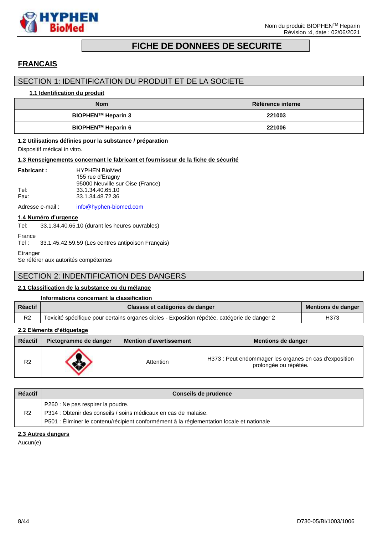

# **FICHE DE DONNEES DE SECURITE**

# <span id="page-7-0"></span>**FRANCAIS**

# SECTION 1: IDENTIFICATION DU PRODUIT ET DE LA SOCIETE

#### **1.1 Identification du produit**

| <b>Nom</b>         | Référence interne |
|--------------------|-------------------|
| BIOPHEN™ Heparin 3 | 221003            |
| BIOPHEN™ Heparin 6 | 221006            |

#### **1.2 Utilisations définies pour la substance / préparation**

Dispositif médical in vitro.

#### **1.3 Renseignements concernant le fabricant et fournisseur de la fiche de sécurité**

| <b>Fabricant:</b> | <b>HYPHEN BioMed</b>             |
|-------------------|----------------------------------|
|                   | 155 rue d'Eragny                 |
|                   | 95000 Neuville sur Oise (France) |
| Tel:              | 33.1.34.40.65.10                 |
| Fax:              | 33.1.34.48.72.36                 |

Adresse e-mail : [info@hyphen-biomed.com](mailto:info@hyphen-biomed.com)

#### **1.4 Numéro d'urgence**

Tel: 33.1.34.40.65.10 (durant les heures ouvrables)

```
France<br>Tel :
```
33.1.45.42.59.59 (Les centres antipoison Français)

**Etranger** 

Se référer aux autorités compétentes

# SECTION 2: INDENTIFICATION DES DANGERS

### **2.1 Classification de la substance ou du mélange**

|                | Informations concernant la classification                                                    |                           |
|----------------|----------------------------------------------------------------------------------------------|---------------------------|
| <b>Réactif</b> | Classes et catégories de danger                                                              | <b>Mentions de danger</b> |
| R <sub>2</sub> | Toxicité spécifique pour certains organes cibles - Exposition répétée, catégorie de danger 2 | H373                      |

### **2.2 Eléments d'étiquetage**

| <b>Réactif</b> | Pictogramme de danger | <b>Mention d'avertissement</b> | <b>Mentions de danger</b>                                                       |
|----------------|-----------------------|--------------------------------|---------------------------------------------------------------------------------|
| R <sub>2</sub> |                       | Attention                      | H373 : Peut endommager les organes en cas d'exposition<br>prolongée ou répétée. |

| <b>Réactif</b> | Conseils de prudence                                                                                 |
|----------------|------------------------------------------------------------------------------------------------------|
| R <sub>2</sub> | P260 : Ne pas respirer la poudre.<br>P314 : Obtenir des conseils / soins médicaux en cas de malaise. |
|                | P501 : Éliminer le contenu/récipient conformément à la réglementation locale et nationale            |

### **2.3 Autres dangers**

Aucun(e)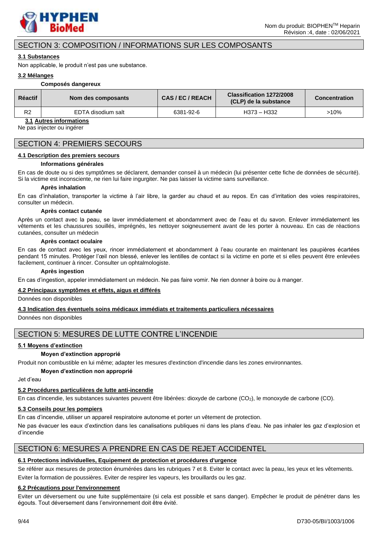

# SECTION 3: COMPOSITION / INFORMATIONS SUR LES COMPOSANTS

### **3.1 Substances**

Non applicable, le produit n'est pas une substance.

#### **3.2 Mélanges**

#### **Composés dangereux**

| <b>Réactif</b> | Nom des composants | CAS/EC/REACH | Classification 1272/2008<br>(CLP) de la substance | <b>Concentration</b> |
|----------------|--------------------|--------------|---------------------------------------------------|----------------------|
| R <sub>2</sub> | EDTA disodium salt | 6381-92-6    | H373 – H332                                       | >10%                 |

**3.1 Autres informations**

Ne pas injecter ou ingérer

### SECTION 4: PREMIERS SECOURS

#### **4.1 Description des premiers secours**

#### **Informations générales**

En cas de doute ou si des symptômes se déclarent, demander conseil à un médecin (lui présenter cette fiche de données de sécurité). Si la victime est inconsciente, ne rien lui faire ingurgiter. Ne pas laisser la victime sans surveillance.

#### **Après inhalation**

En cas d'inhalation, transporter la victime à l'air libre, la garder au chaud et au repos. En cas d'irritation des voies respiratoires, consulter un médecin.

#### **Après contact cutanée**

Après un contact avec la peau, se laver immédiatement et abondamment avec de l'eau et du savon. Enlever immédiatement les vêtements et les chaussures souillés, imprégnés, les nettoyer soigneusement avant de les porter à nouveau. En cas de réactions cutanées, consulter un médecin

#### **Après contact oculaire**

En cas de contact avec les yeux, rincer immédiatement et abondamment à l'eau courante en maintenant les paupières écartées pendant 15 minutes. Protéger l'œil non blessé, enlever les lentilles de contact si la victime en porte et si elles peuvent être enlevées facilement, continuer à rincer. Consulter un ophtalmologiste.

#### **Après ingestion**

En cas d'ingestion, appeler immédiatement un médecin. Ne pas faire vomir. Ne rien donner à boire ou à manger.

#### **4.2 Principaux symptômes et effets, aigus et différés**

Données non disponibles

#### **4.3 Indication des éventuels soins médicaux immédiats et traitements particuliers nécessaires**

Données non disponibles

# SECTION 5: MESURES DE LUTTE CONTRE L'INCENDIE

#### **5.1 Moyens d'extinction**

### **Moyen d'extinction approprié**

Produit non combustible en lui même; adapter les mesures d'extinction d'incendie dans les zones environnantes.

#### **Moyen d'extinction non approprié**

Jet d'eau

### **5.2 Procédures particulières de lutte anti-incendie**

En cas d'incendie, les substances suivantes peuvent être libérées: dioxyde de carbone (CO2), le monoxyde de carbone (CO).

### **5.3 Conseils pour les pompiers**

En cas d'incendie, utiliser un appareil respiratoire autonome et porter un vêtement de protection.

Ne pas évacuer les eaux d'extinction dans les canalisations publiques ni dans les plans d'eau. Ne pas inhaler les gaz d'explosion et d'incendie

# SECTION 6: MESURES A PRENDRE EN CAS DE REJET ACCIDENTEL

# **6.1 Protections individuelles, Equipement de protection et procédures d'urgence**

Se référer aux mesures de protection énumérées dans les rubriques 7 et 8. Eviter le contact avec la peau, les yeux et les vêtements. Eviter la formation de poussières. Eviter de respirer les vapeurs, les brouillards ou les gaz.

### **6.2 Précautions pour l'environnement**

Eviter un déversement ou une fuite supplémentaire (si cela est possible et sans danger). Empêcher le produit de pénétrer dans les égouts. Tout déversement dans l'environnement doit être évité.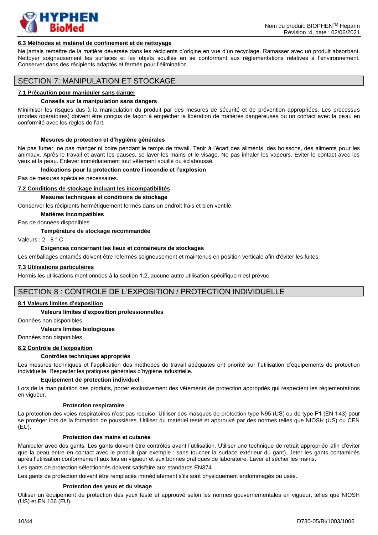

#### **6.3 Méthodes et matériel de confinement et de nettoyage**

Ne jamais remettre de la matière déversée dans les récipients d'origine en vue d'un recyclage. Ramasser avec un produit absorbant. Nettoyer soigneusement les surfaces et les objets souillés en se conformant aux règlementations relatives à l'environnement. Conserver dans des récipients adaptés et fermés pour l'élimination.

### SECTION 7: MANIPULATION ET STOCKAGE

#### **7.1 Précaution pour manipuler sans danger**

#### **Conseils sur la manipulation sans dangers**

Minimiser les risques dus à la manipulation du produit par des mesures de sécurité et de prévention appropriées. Les processus (modes opératoires) doivent être conçus de façon à empêcher la libération de matières dangereuses ou un contact avec la peau en conformité avec les règles de l'art.

#### **Mesures de protection et d'hygiène générales**

Ne pas fumer, ne pas manger ni boire pendant le temps de travail. Tenir à l'écart des aliments, des boissons, des aliments pour les animaux. Après le travail et avant les pauses, se laver les mains et le visage. Ne pas inhaler les vapeurs. Eviter le contact avec les yeux et la peau. Enlever immédiatement tout vêtement souillé ou éclaboussé.

#### **Indications pour la protection contre l'incendie et l'explosion**

Pas de mesures spéciales nécessaires.

#### **7.2 Conditions de stockage incluant les incompatibilités**

#### **Mesures techniques et conditions de stockage**

Conserver les récipients hermétiquement fermés dans un endroit frais et bien ventilé.

**Matières incompatibles**

Pas de données disponibles

#### **Température de stockage recommandée**

Valeurs : 2 - 8 ° C

#### **Exigences concernant les lieux et containeurs de stockages**

Les emballages entamés doivent être refermés soigneusement et maintenus en position verticale afin d'éviter les fuites.

#### **7.3 Utilisations particulières**

Hormis les utilisations mentionnées à la section 1.2, aucune autre utilisation spécifique n'est prévue.

### SECTION 8 : CONTROLE DE L'EXPOSITION / PROTECTION INDIVIDUELLE

#### **8.1 Valeurs limites d'exposition**

#### **Valeurs limites d'exposition professionnelles**

Données non disponibles

#### **Valeurs limites biologiques**

Données non disponibles

#### **8.2 Contrôle de l'exposition**

#### **Contrôles techniques appropriés**

Les mesures techniques et l'application des méthodes de travail adéquates ont priorité sur l'utilisation d'équipements de protection individuelle. Respecter les pratiques générales d'hygiène industrielle.

#### **Equipement de protection individuel**

Lors de la manipulation des produits, porter exclusivement des vêtements de protection appropriés qui respectent les règlementations en vigueur.

#### **Protection respiratoire**

La protection des voies respiratoires n'est pas requise. Utiliser des masques de protection type N95 (US) ou de type P1 (EN 143) pour se protéger lors de la formation de poussières. Utiliser du matériel testé et approuvé par des normes telles que NIOSH (US) ou CEN  $(EU)$ .

#### **Protection des mains et cutanée**

Manipuler avec des gants. Les gants doivent être contrôlés avant l'utilisation. Utiliser une technique de retrait appropriée afin d'éviter que la peau entre en contact avec le produit (par exemple : sans toucher la surface extérieur du gant). Jeter les gants contaminés après l'utilisation conformément aux lois en vigueur et aux bonnes pratiques de laboratoire. Laver et sécher les mains. Les gants de protection sélectionnés doivent satisfaire aux standards EN374.

Les gants de protection doivent être remplacés immédiatement s'ils sont physiquement endommagés ou usés.

#### **Protection des yeux et du visage**

Utiliser un équipement de protection des yeux testé et approuvé selon les normes gouvernementales en vigueur, telles que NIOSH (US) et EN 166 (EU).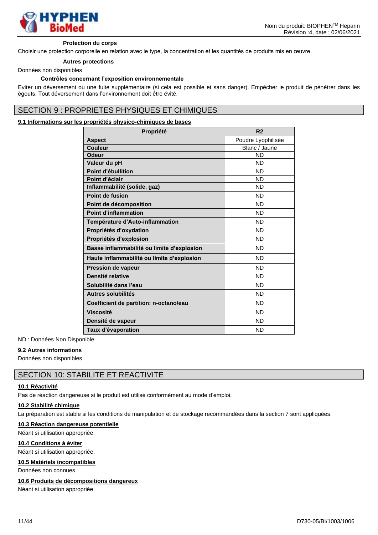

#### **Protection du corps**

Choisir une protection corporelle en relation avec le type, la concentration et les quantités de produits mis en œuvre.

# **Autres protections**

#### Données non disponibles

#### **Contrôles concernant l'exposition environnementale**

Eviter un déversement ou une fuite supplémentaire (si cela est possible et sans danger). Empêcher le produit de pénétrer dans les égouts. Tout déversement dans l'environnement doit être évité.

# SECTION 9 : PROPRIETES PHYSIQUES ET CHIMIQUES

### **9.1 Informations sur les propriétés physico-chimiques de bases**

| Propriété                                  | R <sub>2</sub>     |
|--------------------------------------------|--------------------|
| <b>Aspect</b>                              | Poudre Lyophilisée |
| Couleur                                    | Blanc / Jaune      |
| <b>Odeur</b>                               | <b>ND</b>          |
| Valeur du pH                               | <b>ND</b>          |
| Point d'ébullition                         | <b>ND</b>          |
| Point d'éclair                             | <b>ND</b>          |
| Inflammabilité (solide, gaz)               | <b>ND</b>          |
| Point de fusion                            | <b>ND</b>          |
| Point de décomposition                     | <b>ND</b>          |
| <b>Point d'inflammation</b>                | <b>ND</b>          |
| Température d'Auto-inflammation            | <b>ND</b>          |
| Propriétés d'oxydation                     | <b>ND</b>          |
| Propriétés d'explosion                     | <b>ND</b>          |
| Basse inflammabilité ou limite d'explosion | <b>ND</b>          |
| Haute inflammabilité ou limite d'explosion | <b>ND</b>          |
| <b>Pression de vapeur</b>                  | <b>ND</b>          |
| Densité relative                           | <b>ND</b>          |
| Solubilité dans l'eau                      | <b>ND</b>          |
| <b>Autres solubilités</b>                  | <b>ND</b>          |
| Coefficient de partition: n-octano/eau     | <b>ND</b>          |
| <b>Viscosité</b>                           | <b>ND</b>          |
| Densité de vapeur                          | <b>ND</b>          |
| Taux d'évaporation                         | <b>ND</b>          |

ND : Données Non Disponible

#### **9.2 Autres informations**

Données non disponibles

### SECTION 10: STABILITE ET REACTIVITE

#### **10.1 Réactivité**

Pas de réaction dangereuse si le produit est utilisé conformément au mode d'emploi.

#### **10.2 Stabilité chimique**

La préparation est stable si les conditions de manipulation et de stockage recommandées dans la section 7 sont appliquées.

#### **10.3 Réaction dangereuse potentielle**

Néant si utilisation appropriée.

#### **10.4 Conditions à éviter**

Néant si utilisation appropriée.

### **10.5 Matériels incompatibles**

Données non connues

#### **10.6 Produits de décompositions dangereux**

Néant si utilisation appropriée.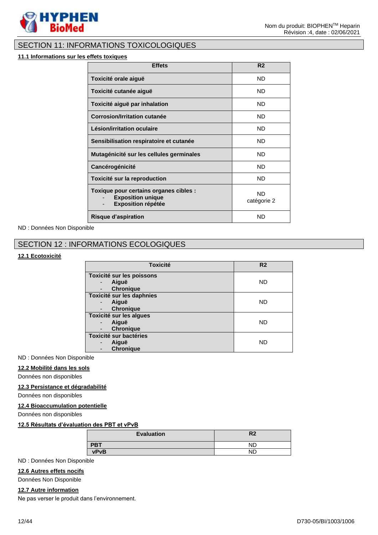

# SECTION 11: INFORMATIONS TOXICOLOGIQUES

#### **11.1 Informations sur les effets toxiques**

| <b>Effets</b>                                                                                   | R <sub>2</sub>           |
|-------------------------------------------------------------------------------------------------|--------------------------|
| Toxicité orale aiguë                                                                            | ND.                      |
| Toxicité cutanée aiguë                                                                          | ND.                      |
| Toxicité aiguë par inhalation                                                                   | ND.                      |
| Corrosion/Irritation cutanée                                                                    | ND.                      |
| Lésion/irritation oculaire                                                                      | <b>ND</b>                |
| Sensibilisation respiratoire et cutanée                                                         | ND.                      |
| Mutagénicité sur les cellules germinales                                                        | ND.                      |
| <b>Cancérogénicité</b>                                                                          | <b>ND</b>                |
| Toxicité sur la reproduction                                                                    | <b>ND</b>                |
| Toxique pour certains organes cibles :<br><b>Exposition unique</b><br><b>Exposition répétée</b> | <b>ND</b><br>catégorie 2 |
| <b>Risque d'aspiration</b>                                                                      | ND                       |

ND : Données Non Disponible

# SECTION 12 : INFORMATIONS ECOLOGIQUES

### **12.1 Ecotoxicité**

| <b>Toxicité</b>                                        | R <sub>2</sub> |
|--------------------------------------------------------|----------------|
| Toxicité sur les poissons<br>Aiguë<br><b>Chronique</b> | <b>ND</b>      |
| Toxicité sur les daphnies<br>Aiguë<br><b>Chronique</b> | <b>ND</b>      |
| Toxicité sur les algues<br>Aiguë<br><b>Chronique</b>   | <b>ND</b>      |
| Toxicité sur bactéries<br>Aiguë<br><b>Chronique</b>    | <b>ND</b>      |

### ND : Données Non Disponible

#### **12.2 Mobilité dans les sols**

Données non disponibles

#### **12.3 Persistance et dégradabilité**

Données non disponibles

#### **12.4 Bioaccumulation potentielle**

Données non disponibles

#### **12.5 Résultats d'évaluation des PBT et vPvB**

| <b>Evaluation</b> | R <sub>2</sub> |
|-------------------|----------------|
| <b>PBT</b>        | ND.            |
| vPvB              | ND             |
|                   |                |

ND : Données Non Disponible

#### **12.6 Autres effets nocifs**

Données Non Disponible

### **12.7 Autre information**

Ne pas verser le produit dans l'environnement.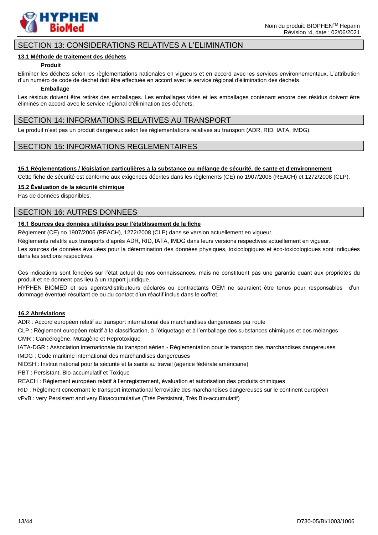

# SECTION 13: CONSIDERATIONS RELATIVES A L'ELIMINATION

#### **13.1 Méthode de traitement des déchets**

#### **Produit**

Eliminer les déchets selon les règlementations nationales en vigueurs et en accord avec les services environnementaux. L'attribution d'un numéro de code de déchet doit être effectuée en accord avec le service régional d'élimination des déchets.

#### **Emballage**

Les résidus doivent être retirés des emballages. Les emballages vides et les emballages contenant encore des résidus doivent être éliminés en accord avec le service régional d'élimination des déchets.

### SECTION 14: INFORMATIONS RELATIVES AU TRANSPORT

Le produit n'est pas un produit dangereux selon les règlementations relatives au transport (ADR, RID, IATA, IMDG).

### SECTION 15: INFORMATIONS REGLEMENTAIRES

#### **15.1 Règlementations / législation particulières a la substance ou mélange de sécurité, de sante et d'environnement**

Cette fiche de sécurité est conforme aux exigences décrites dans les règlements (CE) no 1907/2006 (REACH) et 1272/2008 (CLP).

#### **15.2 Évaluation de la sécurité chimique**

Pas de données disponibles.

### SECTION 16: AUTRES DONNEES

### **16.1 Sources des données utilisées pour l'établissement de la fiche**

Règlement (CE) no 1907/2006 (REACH), 1272/2008 (CLP) dans se version actuellement en vigueur.

Règlements relatifs aux transports d'après ADR, RID, IATA, IMDG dans leurs versions respectives actuellement en vigueur.

Les sources de données évaluées pour la détermination des données physiques, toxicologiques et éco-toxicologiques sont indiquées dans les sections respectives.

Ces indications sont fondées sur l'état actuel de nos connaissances, mais ne constituent pas une garantie quant aux propriétés du produit et ne donnent pas lieu à un rapport juridique.

HYPHEN BIOMED et ses agents/distributeurs déclarés ou contractants OEM ne sauraient être tenus pour responsables d'un dommage éventuel résultant de ou du contact d'un réactif inclus dans le coffret.

### **16.2 Abréviations**

ADR : Accord européen relatif au transport international des marchandises dangereuses par route

CLP : Règlement européen relatif à la classification, à l'étiquetage et à l'emballage des substances chimiques et des mélanges CMR : Cancérogène, Mutagène et Reprotoxique

IATA-DGR : Association internationale du transport aérien - Réglementation pour le transport des marchandises dangereuses

IMDG : Code maritime international des marchandises dangereuses

NIOSH : Institut national pour la sécurité et la santé au travail (agence fédérale américaine)

PBT : Persistant, Bio-accumulatif et Toxique

REACH : Règlement européen relatif à l'enregistrement, évaluation et autorisation des produits chimiques

RID : Règlement concernant le transport international ferroviaire des marchandises dangereuses sur le continent européen

vPvB : very Persistent and very Bioaccumulative (Très Persistant, Très Bio-accumulatif)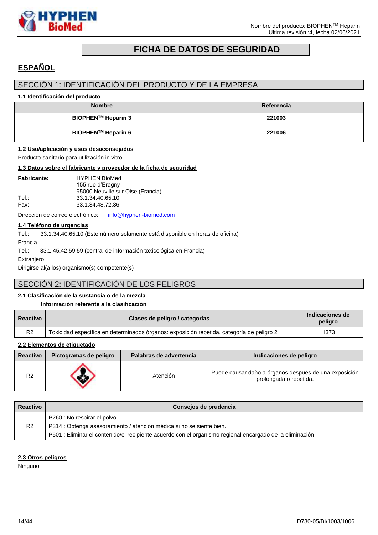

# **FICHA DE DATOS DE SEGURIDAD**

# <span id="page-13-0"></span>**ESPAÑOL**

# SECCIÓN 1: IDENTIFICACIÓN DEL PRODUCTO Y DE LA EMPRESA

### **1.1 Identificación del producto**

| <b>Nombre</b>             | Referencia |
|---------------------------|------------|
| <b>BIOPHEN™ Heparin 3</b> | 221003     |
| <b>BIOPHEN™ Heparin 6</b> | 221006     |

### **1.2 Uso/aplicación y usos desaconsejados**

Producto sanitario para utilización in vitro

#### **1.3 Datos sobre el fabricante y proveedor de la ficha de seguridad**

| <b>Fabricante:</b> | <b>HYPHEN BioMed</b><br>155 rue d'Eragny |
|--------------------|------------------------------------------|
|                    | 95000 Neuville sur Oise (Francia)        |
| Tel.:              | 33.1.34.40.65.10                         |
| Fax:               | 33.1.34.48.72.36                         |
|                    |                                          |

Dirección de correo electrónico: [info@hyphen-biomed.com](mailto:info@hyphen-biomed.com)

### **1.4 Teléfono de urgencias**

Tel.: 33.1.34.40.65.10 (Este número solamente está disponible en horas de oficina)

Francia

Tel.: 33.1.45.42.59.59 (central de información toxicológica en Francia)

**Extranjero** 

Dirigirse al(a los) organismo(s) competente(s)

# SECCIÓN 2: IDENTIFICACIÓN DE LOS PELIGROS

### **2.1 Clasificación de la sustancia o de la mezcla**

#### **Información referente a la clasificación**

| <b>Reactivo</b> | Clases de peligro / categorías                                                            | Indicaciones de<br>peligro |
|-----------------|-------------------------------------------------------------------------------------------|----------------------------|
| R <sub>2</sub>  | Toxicidad específica en determinados órganos: exposición repetida, categoría de peligro 2 | H373                       |

### **2.2 Elementos de etiquetado**

| <b>Reactivo</b> | Pictogramas de peligro | Palabras de advertencia | Indicaciones de peligro                                                         |
|-----------------|------------------------|-------------------------|---------------------------------------------------------------------------------|
| R <sub>2</sub>  |                        | Atención                | Puede causar daño a órganos después de una exposición<br>prolongada o repetida. |

| <b>Reactivo</b> | Consejos de prudencia                                                                                    |
|-----------------|----------------------------------------------------------------------------------------------------------|
|                 | P260 : No respirar el polvo.                                                                             |
| R <sub>2</sub>  | P314 : Obtenga asesoramiento / atención médica si no se siente bien.                                     |
|                 | P501 : Eliminar el contenido/el recipiente acuerdo con el organismo regional encargado de la eliminación |

#### **2.3 Otros peligros**

Ninguno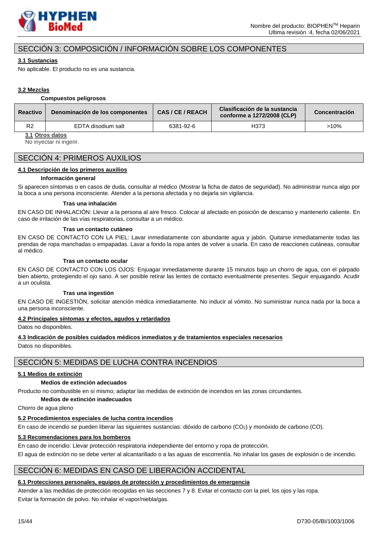

# SECCIÓN 3: COMPOSICIÓN / INFORMACIÓN SOBRE LOS COMPONENTES

### **3.1 Sustancias**

No aplicable. El producto no es una sustancia.

### **3.2 Mezclas**

#### **Compuestos peligrosos**

| <b>Reactivo</b> | Denominación de los componentes | CAS/CE/REACH | Clasificación de la sustancia<br>conforme a 1272/2008 (CLP) | Concentración |
|-----------------|---------------------------------|--------------|-------------------------------------------------------------|---------------|
| R <sub>2</sub>  | EDTA disodium salt              | 6381-92-6    | H373                                                        | >10%          |

**3.1 Otros datos**

No inyectar ni ingerir.

# SECCIÓN 4: PRIMEROS AUXILIOS

### **4.1 Descripción de los primeros auxilios**

#### **Información general**

Si aparecen síntomas o en casos de duda, consultar al médico (Mostrar la ficha de datos de seguridad). No administrar nunca algo por la boca a una persona inconsciente. Atender a la persona afectada y no dejarla sin vigilancia.

#### **Tras una inhalación**

EN CASO DE INHALACIÓN: Llevar a la persona al aire fresco. Colocar al afectado en posición de descanso y mantenerlo caliente. En caso de irritación de las vías respiratorias, consultar a un médico.

#### **Tras un contacto cutáneo**

EN CASO DE CONTACTO CON LA PIEL: Lavar inmediatamente con abundante agua y jabón. Quitarse inmediatamente todas las prendas de ropa manchadas o empapadas. Lavar a fondo la ropa antes de volver a usarla. En caso de reacciones cutáneas, consultar al médico.

#### **Tras un contacto ocular**

EN CASO DE CONTACTO CON LOS OJOS: Enjuagar inmediatamente durante 15 minutos bajo un chorro de agua, con el párpado bien abierto, protegiendo el ojo sano. A ser posible retirar las lentes de contacto eventualmente presentes. Seguir enjuagando. Acudir a un oculista.

#### **Tras una ingestión**

EN CASO DE INGESTIÓN, solicitar atención médica inmediatamente. No inducir al vómito. No suministrar nunca nada por la boca a una persona inconsciente.

#### **4.2 Principales síntomas y efectos, agudos y retardados**

Datos no disponibles.

### **4.3 Indicación de posibles cuidados médicos inmediatos y de tratamientos especiales necesarios**

Datos no disponibles.

### SECCIÓN 5: MEDIDAS DE LUCHA CONTRA INCENDIOS

### **5.1 Medios de extinción**

### **Medios de extinción adecuados**

Producto no combustible en sí mismo; adaptar las medidas de extinción de incendios en las zonas circundantes.

### **Medios de extinción inadecuados**

Chorro de agua pleno

### **5.2 Procedimientos especiales de lucha contra incendios**

En caso de incendio se pueden liberar las siguientes sustancias: dióxido de carbono (CO<sub>2</sub>) y monóxido de carbono (CO).

### **5.3 Recomendaciones para los bomberos**

En caso de incendio: Llevar protección respiratoria independiente del entorno y ropa de protección. El agua de extinción no se debe verter al alcantarillado o a las aguas de escorrentía. No inhalar los gases de explosión o de incendio.

# SECCIÓN 6: MEDIDAS EN CASO DE LIBERACIÓN ACCIDENTAL

### **6.1 Protecciones personales, equipos de protección y procedimientos de emergencia**

Atender a las medidas de protección recogidas en las secciones 7 y 8. Evitar el contacto con la piel, los ojos y las ropa. Evitar la formación de polvo. No inhalar el vapor/niebla/gas.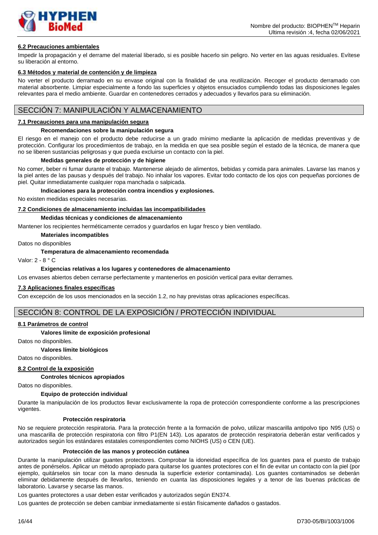

### **6.2 Precauciones ambientales**

Impedir la propagación y el derrame del material liberado, si es posible hacerlo sin peligro. No verter en las aguas residuales. Evítese su liberación al entorno.

#### **6.3 Métodos y material de contención y de limpieza**

No verter el producto derramado en su envase original con la finalidad de una reutilización. Recoger el producto derramado con material absorbente. Limpiar especialmente a fondo las superficies y objetos ensuciados cumpliendo todas las disposiciones legales relevantes para el medio ambiente. Guardar en contenedores cerrados y adecuados y llevarlos para su eliminación.

### SECCIÓN 7: MANIPULACIÓN Y ALMACENAMIENTO

#### **7.1 Precauciones para una manipulación segura**

#### **Recomendaciones sobre la manipulación segura**

El riesgo en el manejo con el producto debe reducirse a un grado mínimo mediante la aplicación de medidas preventivas y de protección. Configurar los procedimientos de trabajo, en la medida en que sea posible según el estado de la técnica, de manera que no se liberen sustancias peligrosas y que pueda excluirse un contacto con la piel.

#### **Medidas generales de protección y de higiene**

No comer, beber ni fumar durante el trabajo. Mantenerse alejado de alimentos, bebidas y comida para animales. Lavarse las manos y la piel antes de las pausas y después del trabajo. No inhalar los vapores. Evitar todo contacto de los ojos con pequeñas porciones de piel. Quitar inmediatamente cualquier ropa manchada o salpicada.

#### **Indicaciones para la protección contra incendios y explosiones.**

No existen medidas especiales necesarias.

#### **7.2 Condiciones de almacenamiento incluidas las incompatibilidades**

#### **Medidas técnicas y condiciones de almacenamiento**

Mantener los recipientes herméticamente cerrados y guardarlos en lugar fresco y bien ventilado.

**Materiales incompatibles**

#### Datos no disponibles

#### **Temperatura de almacenamiento recomendada**

Valor: 2 - 8 ° C

#### **Exigencias relativas a los lugares y contenedores de almacenamiento**

Los envases abiertos deben cerrarse perfectamente y mantenerlos en posición vertical para evitar derrames.

#### **7.3 Aplicaciones finales específicas**

Con excepción de los usos mencionados en la sección 1.2, no hay previstas otras aplicaciones específicas.

### SECCIÓN 8: CONTROL DE LA EXPOSICIÓN / PROTECCIÓN INDIVIDUAL

#### **8.1 Parámetros de control**

#### **Valores límite de exposición profesional**

Datos no disponibles.

#### **Valores límite biológicos**

Datos no disponibles.

#### **8.2 Control de la exposición**

**Controles técnicos apropiados**

Datos no disponibles.

#### **Equipo de protección individual**

Durante la manipulación de los productos llevar exclusivamente la ropa de protección correspondiente conforme a las prescripciones vigentes.

#### **Protección respiratoria**

No se requiere protección respiratoria. Para la protección frente a la formación de polvo, utilizar mascarilla antipolvo tipo N95 (US) o una mascarilla de protección respiratoria con filtro P1(EN 143). Los aparatos de protección respiratoria deberán estar verificados y autorizados según los estándares estatales correspondientes como NIOHS (US) o CEN (UE).

#### **Protección de las manos y protección cutánea**

Durante la manipulación utilizar guantes protectores. Comprobar la idoneidad específica de los guantes para el puesto de trabajo antes de ponérselos. Aplicar un método apropiado para quitarse los guantes protectores con el fin de evitar un contacto con la piel (por ejemplo, quitárselos sin tocar con la mano desnuda la superficie exterior contaminada). Los guantes contaminados se deberán eliminar debidamente después de llevarlos, teniendo en cuanta las disposiciones legales y a tenor de las buenas prácticas de laboratorio. Lavarse y secarse las manos.

Los guantes protectores a usar deben estar verificados y autorizados según EN374.

Los guantes de protección se deben cambiar inmediatamente si están físicamente dañados o gastados.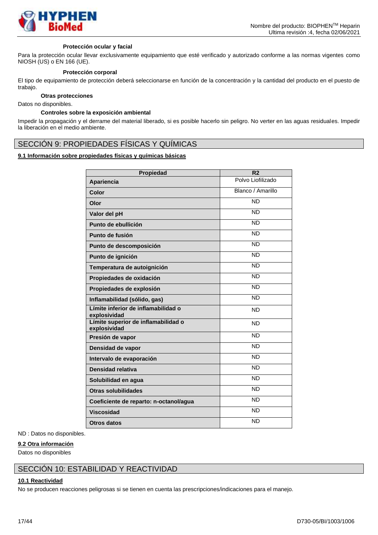

#### **Protección ocular y facial**

Para la protección ocular llevar exclusivamente equipamiento que esté verificado y autorizado conforme a las normas vigentes como NIOSH (US) o EN 166 (UE).

#### **Protección corporal**

El tipo de equipamiento de protección deberá seleccionarse en función de la concentración y la cantidad del producto en el puesto de trabajo.

#### **Otras protecciones**

Datos no disponibles.

#### **Controles sobre la exposición ambiental**

Impedir la propagación y el derrame del material liberado, si es posible hacerlo sin peligro. No verter en las aguas residuales. Impedir la liberación en el medio ambiente.

### SECCIÓN 9: PROPIEDADES FÍSICAS Y QUÍMICAS

### **9.1 Información sobre propiedades físicas y químicas básicas**

| Propiedad                                           | R <sub>2</sub>    |
|-----------------------------------------------------|-------------------|
| Apariencia                                          | Polvo Liofilizado |
| Color                                               | Blanco / Amarillo |
| Olor                                                | <b>ND</b>         |
| Valor del pH                                        | <b>ND</b>         |
| Punto de ebullición                                 | <b>ND</b>         |
| Punto de fusión                                     | <b>ND</b>         |
| Punto de descomposición                             | <b>ND</b>         |
| Punto de ignición                                   | <b>ND</b>         |
| Temperatura de autoignición                         | <b>ND</b>         |
| Propiedades de oxidación                            | <b>ND</b>         |
| Propiedades de explosión                            | <b>ND</b>         |
| Inflamabilidad (sólido, gas)                        | <b>ND</b>         |
| Límite inferior de inflamabilidad o<br>explosividad | <b>ND</b>         |
| Límite superior de inflamabilidad o<br>explosividad | <b>ND</b>         |
| Presión de vapor                                    | <b>ND</b>         |
| Densidad de vapor                                   | <b>ND</b>         |
| Intervalo de evaporación                            | <b>ND</b>         |
| Densidad relativa                                   | <b>ND</b>         |
| Solubilidad en agua                                 | <b>ND</b>         |
| <b>Otras solubilidades</b>                          | <b>ND</b>         |
| Coeficiente de reparto: n-octanol/agua              | <b>ND</b>         |
| <b>Viscosidad</b>                                   | <b>ND</b>         |
| <b>Otros datos</b>                                  | <b>ND</b>         |

#### ND : Datos no disponibles.

#### **9.2 Otra información**

Datos no disponibles

### SECCIÓN 10: ESTABILIDAD Y REACTIVIDAD

#### **10.1 Reactividad**

No se producen reacciones peligrosas si se tienen en cuenta las prescripciones/indicaciones para el manejo.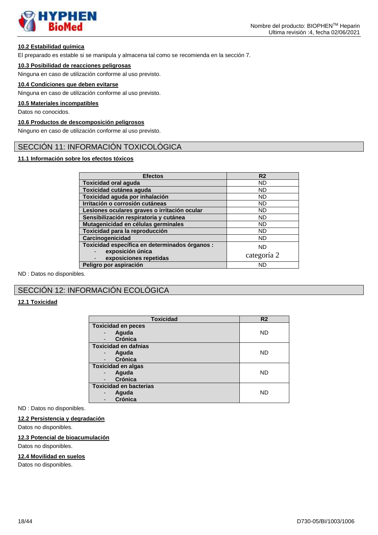

### **10.2 Estabilidad química**

El preparado es estable si se manipula y almacena tal como se recomienda en la sección 7.

### **10.3 Posibilidad de reacciones peligrosas**

Ninguna en caso de utilización conforme al uso previsto.

### **10.4 Condiciones que deben evitarse**

Ninguna en caso de utilización conforme al uso previsto.

### **10.5 Materiales incompatibles**

Datos no conocidos.

### **10.6 Productos de descomposición peligrosos**

Ninguno en caso de utilización conforme al uso previsto.

# SECCIÓN 11: INFORMACIÓN TOXICOLÓGICA

### **11.1 Información sobre los efectos tóxicos**

| <b>Efectos</b>                                 | R <sub>2</sub> |
|------------------------------------------------|----------------|
| <b>Toxicidad oral aguda</b>                    | <b>ND</b>      |
| Toxicidad cutánea aguda                        | <b>ND</b>      |
| Toxicidad aguda por inhalación                 | <b>ND</b>      |
| Irritación o corrosión cutáneas                | ND.            |
| Lesiones oculares graves o irritación ocular   | <b>ND</b>      |
| Sensibilización respiratoria y cutánea         | <b>ND</b>      |
| Mutagenicidad en células germinales            | <b>ND</b>      |
| Toxicidad para la reproducción                 | ND             |
| Carcinogenicidad                               | ND.            |
| Toxicidad específica en determinados órganos : | <b>ND</b>      |
| exposición única<br>exposiciones repetidas     | categoría 2    |
| Peligro por aspiración                         | ND             |

ND : Datos no disponibles.

# SECCIÓN 12: INFORMACIÓN ECOLÓGICA

### **12.1 Toxicidad**

| <b>Toxicidad</b>                           | R <sub>2</sub> |  |
|--------------------------------------------|----------------|--|
| <b>Toxicidad en peces</b>                  |                |  |
| Aguda<br>$\overline{\phantom{0}}$          | ND             |  |
| Crónica<br>$\overline{\phantom{a}}$        |                |  |
| <b>Toxicidad en dafnias</b>                |                |  |
| Aguda<br>-                                 | ND             |  |
| <b>Crónica</b><br>$\overline{\phantom{a}}$ |                |  |
| <b>Toxicidad en algas</b>                  |                |  |
| Aguda                                      | ND             |  |
| Crónica<br>$\overline{\phantom{a}}$        |                |  |
| <b>Toxicidad en bacterias</b>              |                |  |
| Aguda                                      | ND             |  |
| Crónica                                    |                |  |

#### ND : Datos no disponibles.

#### **12.2 Persistencia y degradación**

Datos no disponibles.

### **12.3 Potencial de bioacumulación**

Datos no disponibles.

#### **12.4 Movilidad en suelos**

Datos no disponibles.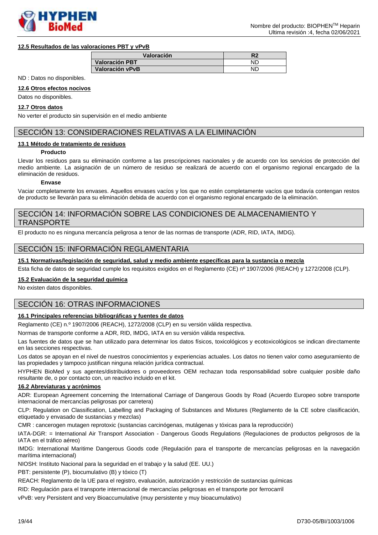

#### **12.5 Resultados de las valoraciones PBT y vPvB**

| Valoración            |           |
|-----------------------|-----------|
| <b>Valoración PBT</b> | NГ        |
| Valoración vPvB       | <b>NF</b> |

ND : Datos no disponibles.

#### **12.6 Otros efectos nocivos**

Datos no disponibles.

#### **12.7 Otros datos**

No verter el producto sin supervisión en el medio ambiente

# SECCIÓN 13: CONSIDERACIONES RELATIVAS A LA ELIMINACIÓN

#### **13.1 Método de tratamiento de residuos**

#### **Producto**

Llevar los residuos para su eliminación conforme a las prescripciones nacionales y de acuerdo con los servicios de protección del medio ambiente. La asignación de un número de residuo se realizará de acuerdo con el organismo regional encargado de la eliminación de residuos.

#### **Envase**

Vaciar completamente los envases. Aquellos envases vacíos y los que no estén completamente vacíos que todavía contengan restos de producto se llevarán para su eliminación debida de acuerdo con el organismo regional encargado de la eliminación.

### SECCIÓN 14: INFORMACIÓN SOBRE LAS CONDICIONES DE ALMACENAMIENTO Y **TRANSPORTE**

El producto no es ninguna mercancía peligrosa a tenor de las normas de transporte (ADR, RID, IATA, IMDG).

### SECCIÓN 15: INFORMACIÓN REGLAMENTARIA

### **15.1 Normativas/legislación de seguridad, salud y medio ambiente específicas para la sustancia o mezcla**

Esta ficha de datos de seguridad cumple los requisitos exigidos en el Reglamento (CE) nº 1907/2006 (REACH) y 1272/2008 (CLP).

#### **15.2 Evaluación de la seguridad química**

No existen datos disponibles.

# SECCIÓN 16: OTRAS INFORMACIONES

### **16.1 Principales referencias bibliográficas y fuentes de datos**

Reglamento (CE) n.º 1907/2006 (REACH), 1272/2008 (CLP) en su versión válida respectiva.

Normas de transporte conforme a ADR, RID, IMDG, IATA en su versión válida respectiva.

Las fuentes de datos que se han utilizado para determinar los datos físicos, toxicológicos y ecotoxicológicos se indican directamente en las secciones respectivas.

Los datos se apoyan en el nivel de nuestros conocimientos y experiencias actuales. Los datos no tienen valor como aseguramiento de las propiedades y tampoco justifican ninguna relación jurídica contractual.

HYPHEN BioMed y sus agentes/distribuidores o proveedores OEM rechazan toda responsabilidad sobre cualquier posible daño resultante de, o por contacto con, un reactivo incluido en el kit.

### **16.2 Abreviaturas y acrónimos**

ADR: European Agreement concerning the International Carriage of Dangerous Goods by Road (Acuerdo Europeo sobre transporte internacional de mercancías peligrosas por carretera)

CLP: Regulation on Classification, Labelling and Packaging of Substances and Mixtures (Reglamento de la CE sobre clasificación, etiquetado y envasado de sustancias y mezclas)

CMR : cancerogen mutagen reprotoxic (sustancias carcinógenas, mutágenas y tóxicas para la reproducción)

IATA-DGR: = International Air Transport Association - Dangerous Goods Regulations (Regulaciones de productos peligrosos de la IATA en el tráfico aéreo)

IMDG: International Maritime Dangerous Goods code (Regulación para el transporte de mercancías peligrosas en la navegación marítima internacional)

NIOSH: Instituto Nacional para la seguridad en el trabajo y la salud (EE. UU.)

PBT: persistente (P), biocumulativo (B) y tóxico (T)

REACH: Reglamento de la UE para el registro, evaluación, autorización y restricción de sustancias químicas

RID: Regulación para el transporte internacional de mercancías peligrosas en el transporte por ferrocarril

vPvB: very Persistent and very Bioaccumulative (muy persistente y muy bioacumulativo)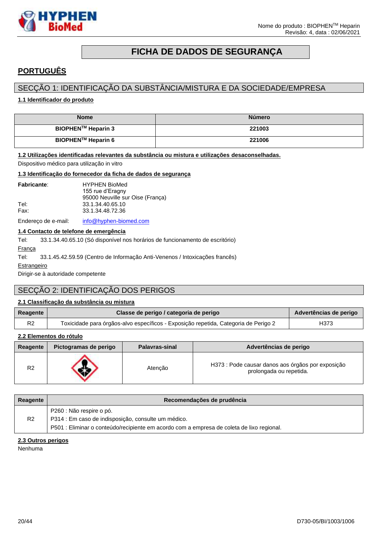



# **FICHA DE DADOS DE SEGURANÇA**

# <span id="page-19-0"></span>**PORTUGUÊS**

# SECÇÃO 1: IDENTIFICAÇÃO DA SUBSTÂNCIA/MISTURA E DA SOCIEDADE/EMPRESA

### **1.1 Identificador do produto**

| <b>Nome</b>                    | <b>Número</b> |
|--------------------------------|---------------|
| BIOPHEN <sup>™</sup> Heparin 3 | 221003        |
| BIOPHEN™ Heparin 6             | 221006        |

#### **1.2 Utilizações identificadas relevantes da substância ou mistura e utilizações desaconselhadas.**

Dispositivo médico para utilização in vitro

#### **1.3 Identificação do fornecedor da ficha de dados de segurança**

| <b>Fabricante:</b> | <b>HYPHEN BioMed</b>             |
|--------------------|----------------------------------|
|                    | 155 rue d'Eragny                 |
|                    | 95000 Neuville sur Oise (Franca) |
| Tel:               | 33.1.34.40.65.10                 |
| Fax:               | 33.1.34.48.72.36                 |
|                    |                                  |

Endereço de e-mail: [info@hyphen-biomed.com](mailto:info@hyphen-biomed.com)

### **1.4 Contacto de telefone de emergência**

Tel: 33.1.34.40.65.10 (Só disponível nos horários de funcionamento de escritório)

### França

Tel: 33.1.45.42.59.59 (Centro de Informação Anti-Venenos / Intoxicações francês)

**Estrangeiro** 

Dirigir-se à autoridade competente

# SECÇÃO 2: IDENTIFICAÇÃO DOS PERIGOS

### **2.1 Classificação da substância ou mistura**

| Reagente | Classe de perigo / categoria de perigo                                              | Advertências de perigo |
|----------|-------------------------------------------------------------------------------------|------------------------|
| R2       | Toxicidade para órgãos-alvo específicos - Exposição repetida, Categoria de Perigo 2 | H373                   |

### **2.2 Elementos do rótulo**

| Reagente       | Pictogramas de perigo | <b>Palavras-sinal</b> | Advertências de perigo                                                       |
|----------------|-----------------------|-----------------------|------------------------------------------------------------------------------|
| R <sub>2</sub> |                       | Atencão               | H373 : Pode causar danos aos órgãos por exposição<br>prolongada ou repetida. |

| Reagente | Recomendações de prudência                                                                |
|----------|-------------------------------------------------------------------------------------------|
|          | P260 : Não respire o pó.                                                                  |
| R2       | P314 : Em caso de indisposição, consulte um médico.                                       |
|          | P501 : Eliminar o conteúdo/recipiente em acordo com a empresa de coleta de lixo regional. |

### **2.3 Outros perigos**

Nenhuma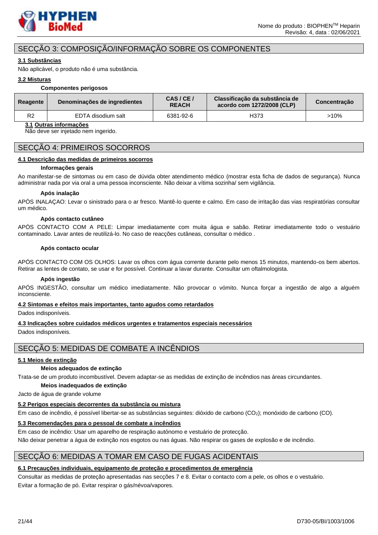

# SECÇÃO 3: COMPOSIÇÃO/INFORMAÇÃO SOBRE OS COMPONENTES

### **3.1 Substâncias**

Não aplicável, o produto não é uma substância.

### **3.2 Misturas**

#### **Componentes perigosos**

| Reagente       | Denominações de ingredientes | CAS/CE/<br><b>REACH</b> | Classificação da substância de<br>acordo com 1272/2008 (CLP) | Concentração |
|----------------|------------------------------|-------------------------|--------------------------------------------------------------|--------------|
| R <sub>2</sub> | EDTA disodium salt           | 6381-92-6               | H373                                                         | >10%         |

### **3.1 Outras informações**

Não deve ser injetado nem ingerido.

### SECÇÃO 4: PRIMEIROS SOCORROS

#### **4.1 Descrição das medidas de primeiros socorros**

#### **Informações gerais**

Ao manifestar-se de sintomas ou em caso de dúvida obter atendimento médico (mostrar esta ficha de dados de segurança). Nunca administrar nada por via oral a uma pessoa inconsciente. Não deixar a vítima sozinha/ sem vigilância.

#### **Após inalação**

APÓS INALAÇAO: Levar o sinistrado para o ar fresco. Mantê-lo quente e calmo. Em caso de irritação das vias respiratórias consultar um médico.

#### **Após contacto cutâneo**

APÓS CONTACTO COM A PELE: Limpar imediatamente com muita água e sabão. Retirar imediatamente todo o vestuário contaminado. Lavar antes de reutilizá-lo. No caso de reacções cutâneas, consultar o médico .

#### **Após contacto ocular**

APÓS CONTACTO COM OS OLHOS: Lavar os olhos com água corrente durante pelo menos 15 minutos, mantendo-os bem abertos. Retirar as lentes de contato, se usar e for possível. Continuar a lavar durante. Consultar um oftalmologista.

#### **Após ingestão**

APÓS INGESTÃO, consultar um médico imediatamente. Não provocar o vómito. Nunca forçar a ingestão de algo a alguém inconsciente.

#### **4.2 Sintomas e efeitos mais importantes, tanto agudos como retardados**

Dados indisponíveis.

### **4.3 Indicações sobre cuidados médicos urgentes e tratamentos especiais necessários**

Dados indisponíveis.

# SECÇÃO 5: MEDIDAS DE COMBATE A INCÊNDIOS

### **5.1 Meios de extinção**

#### **Meios adequados de extinção**

Trata-se de um produto incombustível. Devem adaptar-se as medidas de extinção de incêndios nas áreas circundantes.

### **Meios inadequados de extinção**

Jacto de água de grande volume

### **5.2 Perigos especiais decorrentes da substância ou mistura**

Em caso de incêndio, é possível libertar-se as substâncias seguintes: dióxido de carbono (CO2); monóxido de carbono (CO).

### **5.3 Recomendações para o pessoal de combate a incêndios**

Em caso de incêndio: Usar um aparelho de respiração autónomo e vestuário de protecção.

Não deixar penetrar a água de extinção nos esgotos ou nas águas. Não respirar os gases de explosão e de incêndio.

### SECÇÃO 6: MEDIDAS A TOMAR EM CASO DE FUGAS ACIDENTAIS

### **6.1 Precauções individuais, equipamento de proteção e procedimentos de emergência**

Consultar as medidas de proteção apresentadas nas secções 7 e 8. Evitar o contacto com a pele, os olhos e o vestuário. Evitar a formação de pó. Evitar respirar o gás/névoa/vapores.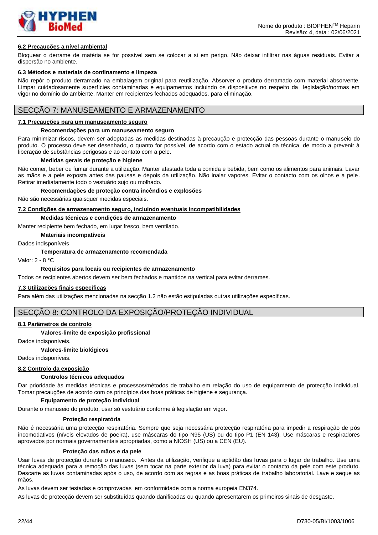

#### **6.2 Precauções a nível ambiental**

Bloquear o derrame de matéria se for possível sem se colocar a si em perigo. Não deixar infiltrar nas águas residuais. Evitar a dispersão no ambiente.

#### **6.3 Métodos e materiais de confinamento e limpeza**

Não repôr o produto derramado na embalagem original para reutilização. Absorver o produto derramado com material absorvente. Limpar cuidadosamente superfícies contaminadas e equipamentos incluindo os dispositivos no respeito da legislação/normas em vigor no domínio do ambiente. Manter em recipientes fechados adequados, para eliminação.

### SECÇÃO 7: MANUSEAMENTO E ARMAZENAMENTO

#### **7.1 Precauções para um manuseamento seguro**

#### **Recomendações para um manuseamento seguro**

Para minimizar riscos, devem ser adoptadas as medidas destinadas à precaução e protecção das pessoas durante o manuseio do produto. O processo deve ser desenhado, o quanto for possível, de acordo com o estado actual da técnica, de modo a prevenir à liberação de substâncias perigosas e ao contato com a pele.

#### **Medidas gerais de proteção e higiene**

Não comer, beber ou fumar durante a utilização. Manter afastada toda a comida e bebida, bem como os alimentos para animais. Lavar as mãos e a pele exposta antes das pausas e depois da utilização. Não inalar vapores. Evitar o contacto com os olhos e a pele. Retirar imediatamente todo o vestuário sujo ou molhado.

**Recomendações de proteção contra incêndios e explosões**

Não são necessárias quaisquer medidas especiais.

#### **7.2 Condições de armazenamento seguro, incluindo eventuais incompatibilidades**

#### **Medidas técnicas e condições de armazenamento**

Manter recipiente bem fechado, em lugar fresco, bem ventilado.

**Materiais incompatíveis**

Dados indisponíveis

#### **Temperatura de armazenamento recomendada**

Valor: 2 - 8 °C

#### **Requisitos para locais ou recipientes de armazenamento**

Todos os recipientes abertos devem ser bem fechados e mantidos na vertical para evitar derrames.

#### **7.3 Utilizações finais específicas**

Para além das utilizações mencionadas na secção 1.2 não estão estipuladas outras utilizações específicas.

### SECCÃO 8: CONTROLO DA EXPOSIÇÃO/PROTEÇÃO INDIVIDUAL

#### **8.1 Parâmetros de controlo**

#### **Valores-limite de exposição profissional**

Dados indisponíveis.

#### **Valores-limite biológicos**

Dados indisponíveis.

#### **8.2 Controlo da exposição**

#### **Controlos técnicos adequados**

Dar prioridade às medidas técnicas e processos/métodos de trabalho em relação do uso de equipamento de protecção individual. Tomar precauções de acordo com os princípios das boas práticas de higiene e segurança.

#### **Equipamento de proteção individual**

Durante o manuseio do produto, usar só vestuário conforme à legislação em vigor.

#### **Proteção respiratória**

Não é necessária uma protecção respiratória. Sempre que seja necessária protecção respiratória para impedir a respiração de pós incomodativos (níveis elevados de poeira), use máscaras do tipo N95 (US) ou do tipo P1 (EN 143). Use máscaras e respiradores aprovados por normais governamentais apropriadas, como a NIOSH (US) ou a CEN (EU).

#### **Proteção das mãos e da pele**

Usar luvas de protecção durante o manuseio. Antes da utilização, verifique a aptidão das luvas para o lugar de trabalho. Use uma técnica adequada para a remoção das luvas (sem tocar na parte exterior da luva) para evitar o contacto da pele com este produto. Descarte as luvas contaminadas após o uso, de acordo com as regras e as boas práticas de trabalho laboratorial. Lave e seque as mãos.

As luvas devem ser testadas e comprovadas em conformidade com a norma europeia EN374.

As luvas de protecção devem ser substituídas quando danificadas ou quando apresentarem os primeiros sinais de desgaste.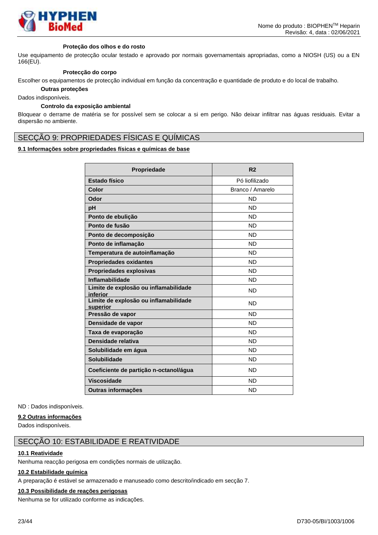

#### **Proteção dos olhos e do rosto**

Use equipamento de protecção ocular testado e aprovado por normais governamentais apropriadas, como a NIOSH (US) ou a EN 166(EU).

#### **Protecção do corpo**

Escolher os equipamentos de protecção individual em função da concentração e quantidade de produto e do local de trabalho.

**Outras proteções**

Dados indisponíveis.

#### **Controlo da exposição ambiental**

Bloquear o derrame de matéria se for possível sem se colocar a si em perigo. Não deixar infiltrar nas águas residuais. Evitar a dispersão no ambiente.

### SECÇÃO 9: PROPRIEDADES FÍSICAS E QUÍMICAS

### **9.1 Informações sobre propriedades físicas e químicas de base**

| Propriedade                                       | R <sub>2</sub>   |
|---------------------------------------------------|------------------|
| <b>Estado físico</b>                              | Pó liofilizado   |
| Color                                             | Branco / Amarelo |
| Odor                                              | <b>ND</b>        |
| pH                                                | ND.              |
| Ponto de ebulição                                 | <b>ND</b>        |
| Ponto de fusão                                    | <b>ND</b>        |
| Ponto de decomposição                             | <b>ND</b>        |
| Ponto de inflamação                               | <b>ND</b>        |
| Temperatura de autoinflamação                     | <b>ND</b>        |
| <b>Propriedades oxidantes</b>                     | <b>ND</b>        |
| <b>Propriedades explosivas</b>                    | <b>ND</b>        |
| Inflamabilidade                                   | <b>ND</b>        |
| Limite de explosão ou inflamabilidade<br>inferior | <b>ND</b>        |
| Limite de explosão ou inflamabilidade<br>superior | <b>ND</b>        |
| Pressão de vapor                                  | <b>ND</b>        |
| Densidade de vapor                                | <b>ND</b>        |
| Taxa de evaporação                                | <b>ND</b>        |
| Densidade relativa                                | <b>ND</b>        |
| Solubilidade em água                              | <b>ND</b>        |
| <b>Solubilidade</b>                               | <b>ND</b>        |
| Coeficiente de partição n-octanol/água            | <b>ND</b>        |
| <b>Viscosidade</b>                                | <b>ND</b>        |
| Outras informações                                | <b>ND</b>        |

ND : Dados indisponíveis.

#### **9.2 Outras informações**

Dados indisponíveis.

# SECÇÃO 10: ESTABILIDADE E REATIVIDADE

### **10.1 Reatividade**

Nenhuma reacção perigosa em condições normais de utilização.

#### **10.2 Estabilidade química**

A preparação é estável se armazenado e manuseado como descrito/indicado em secção 7.

#### **10.3 Possibilidade de reações perigosas**

Nenhuma se for utilizado conforme as indicações.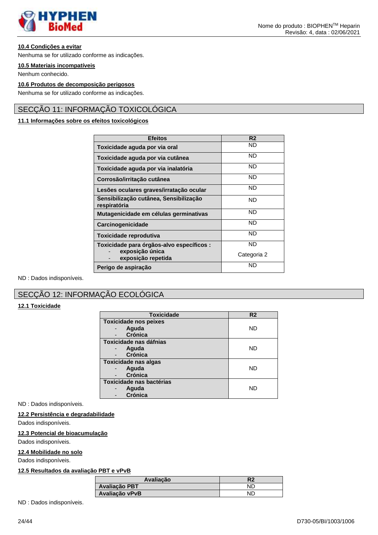

### **10.4 Condições a evitar**

Nenhuma se for utilizado conforme as indicações.

#### **10.5 Materiais incompatíveis**

Nenhum conhecido.

# **10.6 Produtos de decomposição perigosos**

Nenhuma se for utilizado conforme as indicações.

# SECÇÃO 11: INFORMAÇÃO TOXICOLÓGICA

### **11.1 Informações sobre os efeitos toxicológicos**

| <b>Efeitos</b>                                         | R <sub>2</sub> |
|--------------------------------------------------------|----------------|
| Toxicidade aguda por via oral                          | ND             |
| Toxicidade aguda por via cutânea                       | <b>ND</b>      |
| Toxicidade aguda por via inalatória                    | <b>ND</b>      |
| Corrosão/irritação cutânea                             | <b>ND</b>      |
| Lesões oculares graves/irratação ocular                | <b>ND</b>      |
| Sensibilização cutânea, Sensibilização<br>respiratória | <b>ND</b>      |
| Mutagenicidade em células germinativas                 | <b>ND</b>      |
| Carcinogenicidade                                      | <b>ND</b>      |
| Toxicidade reprodutiva                                 | <b>ND</b>      |
| Toxicidade para órgãos-alvo específicos :              | ND             |
| exposição única<br>exposição repetida                  | Categoria 2    |
| Perigo de aspiração                                    | <b>ND</b>      |

ND : Dados indisponíveis.

# SECÇÃO 12: INFORMAÇÃO ECOLÓGICA

### **12.1 Toxicidade**

| <b>Toxicidade</b>            | R <sub>2</sub> |
|------------------------------|----------------|
| <b>Toxicidade nos peixes</b> |                |
| Aguda                        | <b>ND</b>      |
| Crónica                      |                |
| Toxicidade nas dáfnias       |                |
| Aguda                        | <b>ND</b>      |
| <b>Crónica</b>               |                |
| <b>Toxicidade nas algas</b>  |                |
| Aguda                        | <b>ND</b>      |
| Crónica                      |                |
| Toxicidade nas bactérias     |                |
| Aguda                        | ND             |
| <b>Crónica</b>               |                |

ND : Dados indisponíveis.

### **12.2 Persistência e degradabilidade**

Dados indisponíveis.

#### **12.3 Potencial de bioacumulação**

Dados indisponíveis.

### **12.4 Mobilidade no solo**

Dados indisponíveis.

### **12.5 Resultados da avaliação PBT e vPvB**

| Avaliação      | R2 |
|----------------|----|
| Avaliação PBT  | NĽ |
| Avaliação vPvB |    |

ND : Dados indisponíveis.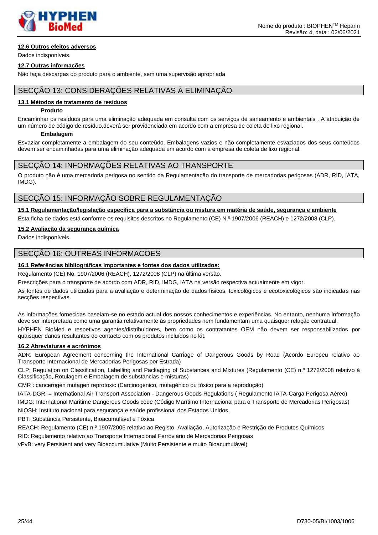

### **12.6 Outros efeitos adversos**

Dados indisponíveis.

#### **12.7 Outras informações**

Não faça descargas do produto para o ambiente, sem uma supervisão apropriada

# SECÇÃO 13: CONSIDERAÇÕES RELATIVAS À ELIMINAÇÃO

#### **13.1 Métodos de tratamento de resíduos**

#### **Produto**

Encaminhar os resíduos para uma eliminação adequada em consulta com os serviços de saneamento e ambientais . A atribuição de um número de código de resíduo,deverá ser providenciada em acordo com a empresa de coleta de lixo regional.

#### **Embalagem**

Esvaziar completamente a embalagem do seu conteúdo. Embalagens vazios e não completamente esvaziados dos seus conteúdos devem ser encaminhadas para uma eliminação adequada em acordo com a empresa de coleta de lixo regional.

### SECÇÃO 14: INFORMAÇÕES RELATIVAS AO TRANSPORTE

O produto não é uma mercadoria perigosa no sentido da Regulamentação do transporte de mercadorias perigosas (ADR, RID, IATA, IMDG).

# SECÇÃO 15: INFORMAÇÃO SOBRE REGULAMENTAÇÃO

**15.1 Regulamentação/legislação específica para a substância ou mistura em matéria de saúde, segurança e ambiente**

Esta ficha de dados está conforme os requisitos descritos no Regulamento (CE) N.º 1907/2006 (REACH) e 1272/2008 (CLP).

### **15.2 Avaliação da segurança química**

Dados indisponíveis.

### SECÇÃO 16: OUTREAS INFORMACOES

### **16.1 Referências bibliográficas importantes e fontes dos dados utilizados:**

Regulamento (CE) No. 1907/2006 (REACH), 1272/2008 (CLP) na última versão.

Prescrições para o transporte de acordo com ADR, RID, IMDG, IATA na versão respectiva actualmente em vigor.

As fontes de dados utilizadas para a avaliação e determinação de dados físicos, toxicológicos e ecotoxicológicos são indicadas nas secções respectivas.

As informações fornecidas baseiam-se no estado actual dos nossos conhecimentos e experiências. No entanto, nenhuma informação deve ser interpretada como uma garantia relativamente às propriedades nem fundamentam uma quaisquer relação contratual.

HYPHEN BioMed e respetivos agentes/distribuidores, bem como os contratantes OEM não devem ser responsabilizados por quaisquer danos resultantes do contacto com os produtos incluídos no kit.

### **16.2 Abreviaturas e acrónimos**

ADR: European Agreement concerning the International Carriage of Dangerous Goods by Road (Acordo Europeu relativo ao Transporte Internacional de Mercadorias Perigosas por Estrada)

CLP: Regulation on Classification, Labelling and Packaging of Substances and Mixtures (Regulamento (CE) n.º 1272/2008 relativo à Classificação, Rotulagem e Embalagem de substancias e misturas)

CMR : cancerogen mutagen reprotoxic (Carcinogénico, mutagénico ou tóxico para a reprodução)

IATA-DGR: = International Air Transport Association - Dangerous Goods Regulations ( Regulamento IATA-Carga Perigosa Aéreo)

IMDG: International Maritime Dangerous Goods code (Código Marítimo Internacional para o Transporte de Mercadorias Perigosas)

NIOSH: Instituto nacional para segurança e saúde profissional dos Estados Unidos.

PBT: Substância Persistente, Bioacumulável e Tóxica

REACH: Regulamento (CE) n.º 1907/2006 relativo ao Registo, Avaliação, Autorização e Restrição de Produtos Químicos

RID: Regulamento relativo ao Transporte Internacional Ferroviário de Mercadorias Perigosas

vPvB: very Persistent and very Bioaccumulative (Muito Persistente e muito Bioacumulável)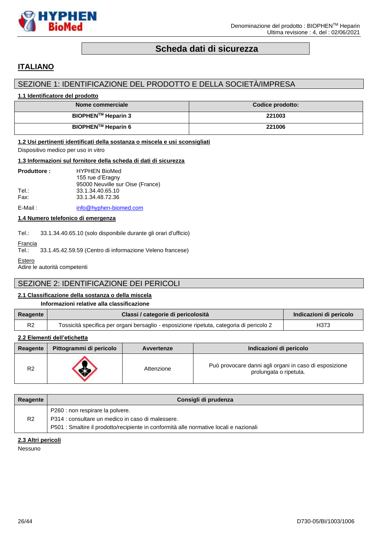

# **Scheda dati di sicurezza**

# <span id="page-25-0"></span>**ITALIANO**

# SEZIONE 1: IDENTIFICAZIONE DEL PRODOTTO E DELLA SOCIETÀ/IMPRESA

### **1.1 Identificatore del prodotto**

| Nome commerciale               | Codice prodotto: |
|--------------------------------|------------------|
| BIOPHEN <sup>™</sup> Heparin 3 | 221003           |
| BIOPHEN™ Heparin 6             | 221006           |

#### **1.2 Usi pertinenti identificati della sostanza o miscela e usi sconsigliati**

Dispositivo medico per uso in vitro

#### **1.3 Informazioni sul fornitore della scheda di dati di sicurezza**

| <b>Produttore:</b> | <b>HYPHEN BioMed</b><br>155 rue d'Eragny             |
|--------------------|------------------------------------------------------|
| Tel.:              | 95000 Neuville sur Oise (France)<br>33.1.34.40.65.10 |
| Fax:               | 33.1.34.48.72.36                                     |
| E-Mail:            | info@hyphen-biomed.com                               |

**1.4 Numero telefonico di emergenza**

Tel.: 33.1.34.40.65.10 (solo disponibile durante gli orari d'ufficio)

Francia<br>Tel : 33.1.45.42.59.59 (Centro di informazione Veleno francese)

**Estero** 

Adire le autorità competenti

# SEZIONE 2: IDENTIFICAZIONE DEI PERICOLI

### **2.1 Classificazione della sostanza o della miscela**

#### **Informazioni relative alla classificazione**

| Reagente | Classi / categorie di pericolosità                                                       | Indicazioni di pericolo |
|----------|------------------------------------------------------------------------------------------|-------------------------|
| R2       | Tossicità specifica per organi bersaglio - esposizione ripetuta, categoria di pericolo 2 | H373                    |

### **2.2 Elementi dell'etichetta**

| Reagente | Pittogrammi di pericolo | Avvertenze | Indicazioni di pericolo                                                          |
|----------|-------------------------|------------|----------------------------------------------------------------------------------|
| R2       |                         | Attenzione | Può provocare danni agli organi in caso di esposizione<br>prolungata o ripetuta. |

| Reagente       | Consigli di prudenza                                                                                                                                                            |
|----------------|---------------------------------------------------------------------------------------------------------------------------------------------------------------------------------|
| R <sub>2</sub> | P260 : non respirare la polvere.<br>P314 : consultare un medico in caso di malessere.<br>P501 : Smaltire il prodotto/recipiente in conformità alle normative locali e nazionali |

### **2.3 Altri pericoli**

Nessuno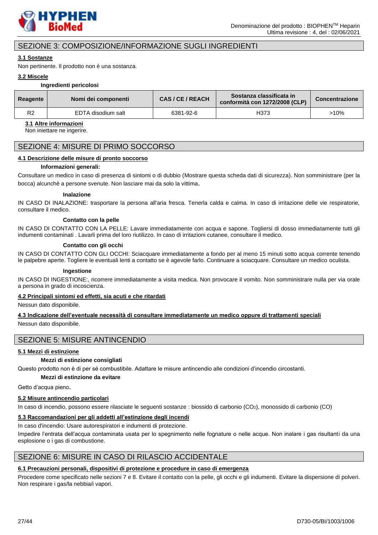

# SEZIONE 3: COMPOSIZIONE/INFORMAZIONE SUGLI INGREDIENTI

#### **3.1 Sostanze**

Non pertinente. Il prodotto non è una sostanza.

#### **3.2 Miscele**

#### **Ingredienti pericolosi**

| <b>Reagente</b> | Nomi dei componenti | CAS / CE / REACH | Sostanza classificata in<br>conformità con 1272/2008 (CLP) | <b>Concentrazione</b> |
|-----------------|---------------------|------------------|------------------------------------------------------------|-----------------------|
| R2              | EDTA disodium salt  | 6381-92-6        | H373                                                       | $>10\%$               |

### **3.1 Altre informazioni**

Non iniettare ne ingerire.

### SEZIONE 4: MISURE DI PRIMO SOCCORSO

#### **4.1 Descrizione delle misure di pronto soccorso**

#### **Informazioni generali:**

Consultare un medico in caso di presenza di sintomi o di dubbio (Mostrare questa scheda dati di sicurezza). Non somministrare (per la bocca) alcunchè a persone svenute. Non lasciare mai da solo la vittima.

#### **Inalazione**

IN CASO DI INALAZIONE: trasportare la persona all'aria fresca. Tenerla calda e calma. In caso di irritazione delle vie respiratorie, consultare il medico.

#### **Contatto con la pelle**

IN CASO DI CONTATTO CON LA PELLE: Lavare immediatamente con acqua e sapone. Togliersi di dosso immediatamente tutti gli indumenti contaminati . Lavarli prima del loro riutilizzo. In caso di irritazioni cutanee, consultare il medico.

#### **Contatto con gli occhi**

IN CASO DI CONTATTO CON GLI OCCHI: Sciacquare immediatamente a fondo per al meno 15 minuti sotto acqua corrente tenendo le palpebre aperte. Togliere le eventuali lenti a contatto se è agevole farlo. Continuare a sciacquare. Consultare un medico oculista.

#### **Ingestione**

IN CASO DI INGESTIONE:, ricorrere immediatamente a visita medica. Non provocare il vomito. Non somministrare nulla per via orale a persona in grado di incoscienza.

#### **4.2 Principali sintomi ed effetti, sia acuti e che ritardati**

Nessun dato disponibile.

#### **4.3 Indicazione dell'eventuale necessità di consultare immediatamente un medico oppure di trattamenti speciali**

Nessun dato disponibile.

# SEZIONE 5: MISURE ANTINCENDIO

#### **5.1 Mezzi di estinzione**

#### **Mezzi di estinzione consigliati**

Questo prodotto non è di per sé combustibile. Adattare le misure antincendio alle condizioni d'incendio circostanti.

**Mezzi di estinzione da evitare**

Getto d'acqua pieno.

#### **5.2 Misure antincendio particolari**

In caso di incendio, possono essere rilasciate le seguenti sostanze : biossido di carbonio (CO<sub>2</sub>), monossido di carbonio (CO)

### **5.3 Raccomandazioni per gli addetti all'estinzione degli incendi**

In caso d'incendio: Usare autorespiratori e indumenti di protezione.

Impedire l'entrata dell'acqua contaminata usata per lo spegnimento nelle fognature o nelle acque. Non inalare i gas risultanti da una esplosione o i gas di combustione.

### SEZIONE 6: MISURE IN CASO DI RILASCIO ACCIDENTALE

#### **6.1 Precauzioni personali, dispositivi di protezione e procedure in caso di emergenza**

Procedere come specificato nelle sezioni 7 e 8. Evitare il contatto con la pelle, gli occhi e gli indumenti. Evitare la dispersione di polveri. Non respirare i gas/la nebbia/i vapori.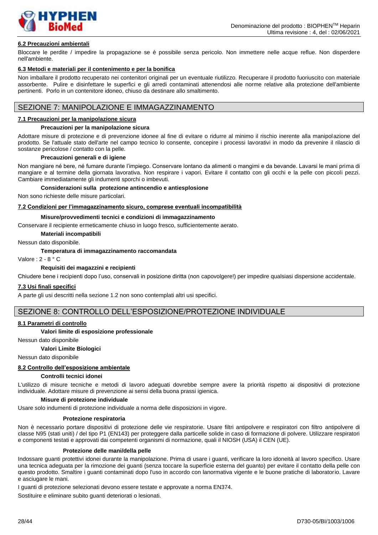

### **6.2 Precauzioni ambientali**

Bloccare le perdite / impedire la propagazione se è possibile senza pericolo. Non immettere nelle acque reflue. Non disperdere nell'ambiente.

#### **6.3 Metodi e materiali per il contenimento e per la bonifica**

Non imballare il prodotto recuperato nei contenitori originali per un eventuale riutilizzo. Recuperare il prodotto fuoriuscito con materiale assorbente. Pulire e disinfettare le superfici e gli arredi contaminati attenendosi alle norme relative alla protezione dell'ambiente pertinenti. Porlo in un contenitore idoneo, chiuso da destinare allo smaltimento.

# SEZIONE 7: MANIPOLAZIONE E IMMAGAZZINAMENTO

#### **7.1 Precauzioni per la manipolazione sicura**

#### **Precauzioni per la manipolazione sicura**

Adottare misure di protezione e di prevenzione idonee al fine di evitare o ridurre al minimo il rischio inerente alla manipolazione del prodotto. Se l'attuale stato dell'arte nel campo tecnico lo consente, concepire i processi lavorativi in modo da prevenire il rilascio di sostanze pericolose / contatto con la pelle.

#### **Precauzioni generali e di igiene**

Non mangiare né bere, né fumare durante l'impiego. Conservare lontano da alimenti o mangimi e da bevande. Lavarsi le mani prima di mangiare e al termine della giornata lavorativa. Non respirare i vapori. Evitare il contatto con gli occhi e la pelle con piccoli pezzi. Cambiare immediatamente gli indumenti sporchi o imbevuti.

#### **Considerazioni sulla protezione antincendio e antiesplosione**

Non sono richieste delle misure particolari.

#### **7.2 Condizioni per l'immagazzinamento sicuro, comprese eventuali incompatibilità**

#### **Misure/provvedimenti tecnici e condizioni di immagazzinamento**

Conservare il recipiente ermeticamente chiuso in luogo fresco, sufficientemente aerato.

**Materiali incompatibili**

Nessun dato disponibile.

#### **Temperatura di immagazzinamento raccomandata**

Valore : 2 - 8 ° C

#### **Requisiti dei magazzini e recipienti**

Chiudere bene i recipienti dopo l'uso, conservali in posizione diritta (non capovolgere!) per impedire qualsiasi dispersione accidentale.

#### **7.3 Usi finali specifici**

A parte gli usi descritti nella sezione 1.2 non sono contemplati altri usi specifici.

### SEZIONE 8: CONTROLLO DELL'ESPOSIZIONE/PROTEZIONE INDIVIDUALE

#### **8.1 Parametri di controllo**

#### **Valori limite di esposizione professionale**

Nessun dato disponibile

#### **Valori Limite Biologici**

Nessun dato disponibile

### **8.2 Controllo dell'esposizione ambientale**

#### **Controlli tecnici idonei**

L'utilizzo di misure tecniche e metodi di lavoro adeguati dovrebbe sempre avere la priorità rispetto ai dispositivi di protezione individuale. Adottare misure di prevenzione ai sensi della buona prassi igienica.

#### **Misure di protezione individuale**

Usare solo indumenti di protezione individuale a norma delle disposizioni in vigore.

#### **Protezione respiratoria**

Non è necessario portare dispositivi di protezione delle vie respiratorie. Usare filtri antipolvere e respiratori con filtro antipolvere di classe N95 (stati uniti) / del tipo P1 (EN143) per proteggere dalla particelle solide in caso di formazione di polvere. Utilizzare respiratori e componenti testati e approvati dai competenti organismi di normazione, quali il NIOSH (USA) il CEN (UE).

#### **Protezione delle mani/della pelle**

Indossare guanti protettivi idonei durante la manipolazione. Prima di usare i guanti, verificare la loro idoneità al lavoro specifico. Usare una tecnica adeguata per la rimozione dei guanti (senza toccare la superficie esterna del guanto) per evitare il contatto della pelle con questo prodotto. Smaltire i guanti contaminati dopo l'uso in accordo con lanormativa vigente e le buone pratiche di laboratorio. Lavare e asciugare le mani.

I guanti di protezione selezionati devono essere testate e approvate a norma EN374.

Sostituire e eliminare subito guanti deteriorati o lesionati.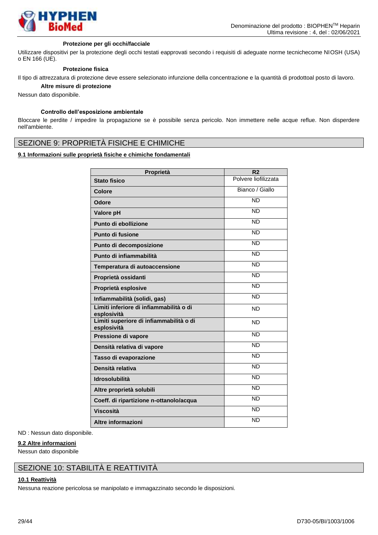

#### **Protezione per gli occhi/facciale**

Utilizzare dispositivi per la protezione degli occhi testati eapprovati secondo i requisiti di adeguate norme tecnichecome NIOSH (USA) o EN 166 (UE).

#### **Protezione fisica**

Il tipo di attrezzatura di protezione deve essere selezionato infunzione della concentrazione e la quantità di prodottoal posto di lavoro. **Altre misure di protezione**

Nessun dato disponibile.

### **Controllo dell'esposizione ambientale**

Bloccare le perdite / impedire la propagazione se è possibile senza pericolo. Non immettere nelle acque reflue. Non disperdere nell'ambiente.

# SEZIONE 9: PROPRIETÀ FISICHE E CHIMICHE

### **9.1 Informazioni sulle proprietà fisiche e chimiche fondamentali**

| Proprietà                                              | R <sub>2</sub>       |
|--------------------------------------------------------|----------------------|
| <b>Stato fisico</b>                                    | Polvere liofilizzata |
| Colore                                                 | Bianco / Giallo      |
| Odore                                                  | <b>ND</b>            |
| Valore pH                                              | <b>ND</b>            |
| Punto di ebollizione                                   | <b>ND</b>            |
| Punto di fusione                                       | <b>ND</b>            |
| Punto di decomposizione                                | <b>ND</b>            |
| Punto di infiammabilità                                | <b>ND</b>            |
| Temperatura di autoaccensione                          | <b>ND</b>            |
| Proprietà ossidanti                                    | <b>ND</b>            |
| Proprietà esplosive                                    | <b>ND</b>            |
| Infiammabilità (solidi, gas)                           | <b>ND</b>            |
| Limiti inferiore di infiammabilità o di<br>esplosività | <b>ND</b>            |
| Limiti superiore di infiammabilità o di<br>esplosività | <b>ND</b>            |
| Pressione di vapore                                    | <b>ND</b>            |
| Densità relativa di vapore                             | <b>ND</b>            |
| Tasso di evaporazione                                  | <b>ND</b>            |
| Densità relativa                                       | <b>ND</b>            |
| <b>Idrosolubilità</b>                                  | <b>ND</b>            |
| Altre proprietà solubili                               | <b>ND</b>            |
| Coeff. di ripartizione n-ottanolo/acqua                | <b>ND</b>            |
| <b>Viscosità</b>                                       | <b>ND</b>            |
| Altre informazioni                                     | <b>ND</b>            |

ND : Nessun dato disponibile.

### **9.2 Altre informazioni**

Nessun dato disponibile

# SEZIONE 10: STABILITÀ E REATTIVITÀ

### **10.1 Reattività**

Nessuna reazione pericolosa se manipolato e immagazzinato secondo le disposizioni.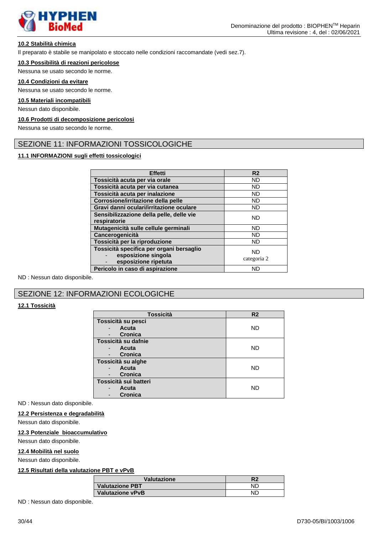

### **10.2 Stabilità chimica**

Il preparato è stabile se manipolato e stoccato nelle condizioni raccomandate (vedi sez.7).

#### **10.3 Possibilità di reazioni pericolose**

Nessuna se usato secondo le norme.

#### **10.4 Condizioni da evitare**

Nessuna se usato secondo le norme.

#### **10.5 Materiali incompatibili**

Nessun dato disponibile.

#### **10.6 Prodotti di decomposizione pericolosi**

Nessuna se usato secondo le norme.

# SEZIONE 11: INFORMAZIONI TOSSICOLOGICHE

### **11.1 INFORMAZIONI sugli effetti tossicologici**

| Effetti                                                                                 | R <sub>2</sub>           |
|-----------------------------------------------------------------------------------------|--------------------------|
| Tossicità acuta per via orale                                                           | <b>ND</b>                |
| Tossicità acuta per via cutanea                                                         | <b>ND</b>                |
| Tossicità acuta per inalazione                                                          | <b>ND</b>                |
| Corrosione/irritazione della pelle                                                      | <b>ND</b>                |
| Gravi danni oculari/irritazione oculare                                                 | <b>ND</b>                |
| Sensibilizzazione della pelle, delle vie<br>respiratorie                                | <b>ND</b>                |
| Mutagenicità sulle cellule germinali                                                    | <b>ND</b>                |
| Cancerogenicità                                                                         | <b>ND</b>                |
| Tossicità per la riproduzione                                                           | <b>ND</b>                |
| Tossicità specifica per organi bersaglio<br>esposizione singola<br>esposizione ripetuta | <b>ND</b><br>categoria 2 |
| Pericolo in caso di aspirazione                                                         | <b>ND</b>                |

ND : Nessun dato disponibile.

# SEZIONE 12: INFORMAZIONI ECOLOGICHE

### **12.1 Tossicità**

| Tossicità             | R <sub>2</sub> |  |  |
|-----------------------|----------------|--|--|
| Tossicità su pesci    |                |  |  |
| Acuta                 | <b>ND</b>      |  |  |
| Cronica               |                |  |  |
| Tossicità su dafnie   |                |  |  |
| Acuta                 | <b>ND</b>      |  |  |
| <b>Cronica</b>        |                |  |  |
| Tossicità su alghe    |                |  |  |
| Acuta                 | <b>ND</b>      |  |  |
| Cronica               |                |  |  |
| Tossicità sui batteri |                |  |  |
| <b>Acuta</b>          | <b>ND</b>      |  |  |
| <b>Cronica</b>        |                |  |  |

ND : Nessun dato disponibile.

#### **12.2 Persistenza e degradabilità**

Nessun dato disponibile.

### **12.3 Potenziale bioaccumulativo**

Nessun dato disponibile.

#### **12.4 Mobilità nel suolo**

Nessun dato disponibile.

#### **12.5 Risultati della valutazione PBT e vPvB**

| Valutazione             | R2 |
|-------------------------|----|
| <b>Valutazione PBT</b>  | ND |
| <b>Valutazione vPvB</b> | NΓ |

ND : Nessun dato disponibile.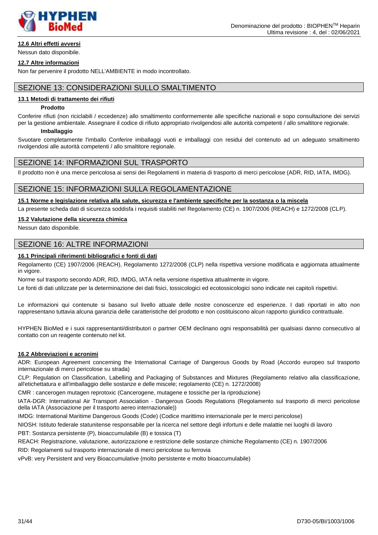

# **12.6 Altri effetti avversi**

Nessun dato disponibile.

#### **12.7 Altre informazioni**

Non far pervenire il prodotto NELL'AMBIENTE in modo incontrollato.

### SEZIONE 13: CONSIDERAZIONI SULLO SMALTIMENTO

### **13.1 Metodi di trattamento dei rifiuti**

#### **Prodotto**

Conferire rifiuti (non riciclabili / eccedenze) allo smaltimento conformemente alle specifiche nazionali e sopo consultazione dei servizi per la gestione ambientale. Assegnare il codice di rifiuto appropriato rivolgendosi alle autorità competenti / allo smaltitore regionale.

#### **Imballaggio**

Svuotare completamente l'imballo Conferire imballaggi vuoti e imballaggi con residui del contenuto ad un adeguato smaltimento rivolgendosi alle autorità competenti / allo smaltitore regionale.

### SEZIONE 14: INFORMAZIONI SUL TRASPORTO

Il prodotto non è una merce pericolosa ai sensi dei Regolamenti in materia di trasporto di merci pericolose (ADR, RID, IATA, IMDG).

### SEZIONE 15: INFORMAZIONI SULLA REGOLAMENTAZIONE

**15.1 Norme e legislazione relativa alla salute, sicurezza e l'ambiente specifiche per la sostanza o la miscela**

La presente scheda dati di sicurezza soddisfa i requisiti stabiliti nel Regolamento (CE) n. 1907/2006 (REACH) e 1272/2008 (CLP).

#### **15.2 Valutazione della sicurezza chimica**

Nessun dato disponibile.

### SEZIONE 16: ALTRE INFORMAZIONI

#### **16.1 Principali riferimenti bibliografici e fonti di dati**

Regolamento (CE) 1907/2006 (REACH), Regolamento 1272/2008 (CLP) nella rispettiva versione modificata e aggiornata attualmente in vigore.

Norme sul trasporto secondo ADR, RID, IMDG, IATA nella versione rispettiva attualmente in vigore.

Le fonti di dati utilizzate per la determinazione dei dati fisici, tossicologici ed ecotossicologici sono indicate nei capitoli rispettivi.

Le informazioni qui contenute si basano sul livello attuale delle nostre conoscenze ed esperienze. I dati riportati in alto non rappresentano tuttavia alcuna garanzia delle caratteristiche del prodotto e non costituiscono alcun rapporto giuridico contrattuale.

HYPHEN BioMed e i suoi rappresentanti/distributori o partner OEM declinano ogni responsabilità per qualsiasi danno consecutivo al contatto con un reagente contenuto nel kit.

### **16.2 Abbreviazioni e acronimi**

ADR: European Agreement concerning the International Carriage of Dangerous Goods by Road (Accordo europeo sul trasporto internazionale di merci pericolose su strada)

CLP: Regulation on Classification, Labelling and Packaging of Substances and Mixtures (Regolamento relativo alla classificazione, all'etichettatura e all'imballaggio delle sostanze e delle miscele; regolamento (CE) n. 1272/2008)

CMR : cancerogen mutagen reprotoxic (Cancerogene, mutagene e tossiche per la riproduzione)

IATA-DGR: International Air Transport Association - Dangerous Goods Regulations (Regolamento sul trasporto di merci pericolose della IATA (Associazione per il trasporto aereo internazionale))

IMDG: International Maritime Dangerous Goods (Code) (Codice marittimo internazionale per le merci pericolose)

NIOSH: Istituto federale statunitense responsabile per la ricerca nel settore degli infortuni e delle malattie nei luoghi di lavoro PBT: Sostanza persistente (P), bioaccumulabile (B) e tossica (T)

REACH: Registrazione, valutazione, autorizzazione e restrizione delle sostanze chimiche Regolamento (CE) n. 1907/2006

RID: Regolamenti sul trasporto internazionale di merci pericolose su ferrovia

vPvB: very Persistent and very Bioaccumulative (molto persistente e molto bioaccumulabile)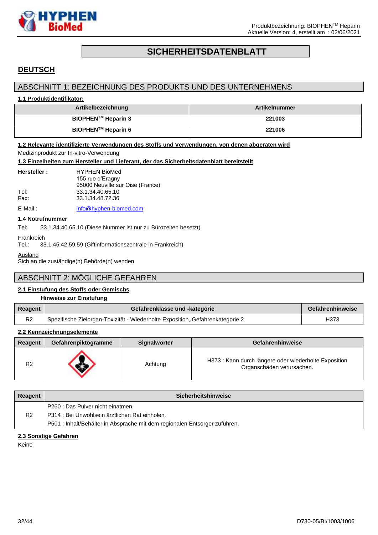

# **SICHERHEITSDATENBLATT**

# <span id="page-31-0"></span>**DEUTSCH**

# ABSCHNITT 1: BEZEICHNUNG DES PRODUKTS UND DES UNTERNEHMENS

#### **1.1 Produktidentifikator:**

| Artikelbezeichnung             | <b>Artikelnummer</b> |
|--------------------------------|----------------------|
| BIOPHEN <sup>™</sup> Heparin 3 | 221003               |
| BIOPHEN™ Heparin 6             | 221006               |

### **1.2 Relevante identifizierte Verwendungen des Stoffs und Verwendungen, von denen abgeraten wird**

Medizinprodukt zur In-vitro-Verwendung

#### **1.3 Einzelheiten zum Hersteller und Lieferant, der das Sicherheitsdatenblatt bereitstellt**

| Hersteller:  | <b>HYPHEN BioMed</b><br>155 rue d'Eragny                                 |
|--------------|--------------------------------------------------------------------------|
| Tel:<br>Fax: | 95000 Neuville sur Oise (France)<br>33.1.34.40.65.10<br>33.1.34.48.72.36 |
| -            |                                                                          |

E-Mail: [info@hyphen-biomed.com](mailto:info@hyphen-biomed.com)

### **1.4 Notrufnummer**

Tel: 33.1.34.40.65.10 (Diese Nummer ist nur zu Bürozeiten besetzt)

**Frankreich** 

Tel.: 33.1.45.42.59.59 (Giftinformationszentrale in Frankreich)

Ausland

Sich an die zuständige(n) Behörde(n) wenden

# ABSCHNITT 2: MÖGLICHE GEFAHREN

### **2.1 Einstufung des Stoffs oder Gemischs**

|                | Hinweise zur Einstufung                                                       |                  |
|----------------|-------------------------------------------------------------------------------|------------------|
| Reagent        | Gefahrenklasse und -kategorie                                                 | Gefahrenhinweise |
| R <sub>2</sub> | Spezifische Zielorgan-Toxizität - Wiederholte Exposition, Gefahrenkategorie 2 | H373             |

### **2.2 Kennzeichnungselemente**

| Reagent        | Gefahrenpiktogramme | Signalwörter | <b>Gefahrenhinweise</b>                                                            |
|----------------|---------------------|--------------|------------------------------------------------------------------------------------|
| R <sub>2</sub> |                     | Achtung      | H373 : Kann durch längere oder wiederholte Exposition<br>Organschäden verursachen. |

| Reagent        | <b>Sicherheitshinweise</b>                                                 |  |
|----------------|----------------------------------------------------------------------------|--|
|                | P260 : Das Pulver nicht einatmen.                                          |  |
| R <sub>2</sub> | P314 : Bei Unwohlsein ärztlichen Rat einholen.                             |  |
|                | P501 : Inhalt/Behälter in Absprache mit dem regionalen Entsorger zuführen. |  |

#### **2.3 Sonstige Gefahren**

Keine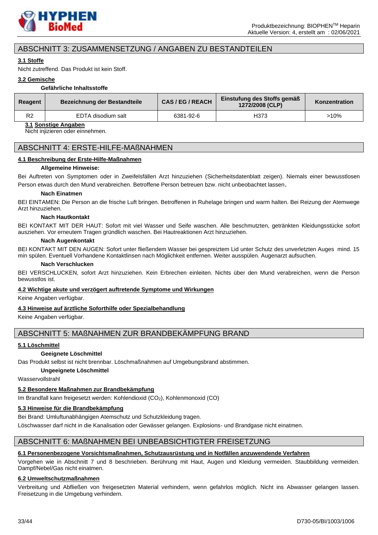

# ABSCHNITT 3: ZUSAMMENSETZUNG / ANGABEN ZU BESTANDTEILEN

### **3.1 Stoffe**

Nicht zutreffend. Das Produkt ist kein Stoff.

### **3.2 Gemische**

### **Gefährliche Inhaltsstoffe**

| Reagent | Bezeichnung der Bestandteile | CAS/EG/REACH | Einstufung des Stoffs gemäß<br>1272/2008 (CLP) | Konzentration |
|---------|------------------------------|--------------|------------------------------------------------|---------------|
| Do      | EDTA disodium salt           | 6381-92-6    | H373                                           | >10%          |

### **3.1 Sonstige Angaben**

Nicht injizieren oder einnehmen.

### ABSCHNITT 4: ERSTE-HILFE-MAßNAHMEN

### **4.1 Beschreibung der Erste-Hilfe-Maßnahmen**

### **Allgemeine Hinweise:**

Bei Auftreten von Symptomen oder in Zweifelsfällen Arzt hinzuziehen (Sicherheitsdatenblatt zeigen). Niemals einer bewusstlosen Person etwas durch den Mund verabreichen. Betroffene Person betreuen bzw. nicht unbeobachtet lassen.

#### **Nach Einatmen**

BEI EINTAMEN: Die Person an die frische Luft bringen. Betroffenen in Ruhelage bringen und warm halten. Bei Reizung der Atemwege Arzt hinzuziehen.

### **Nach Hautkontakt**

BEI KONTAKT MIT DER HAUT: Sofort mit viel Wasser und Seife waschen. Alle beschmutzten, getränkten Kleidungsstücke sofort ausziehen. Vor erneutem Tragen gründlich waschen. Bei Hautreaktionen Arzt hinzuziehen.

#### **Nach Augenkontakt**

BEI KONTAKT MIT DEN AUGEN: Sofort unter fließendem Wasser bei gespreiztem Lid unter Schutz des unverletzten Auges mind. 15 min spülen. Eventuell Vorhandene Kontaktlinsen nach Möglichkeit entfernen. Weiter ausspülen. Augenarzt aufsuchen.

#### **Nach Verschlucken**

BEI VERSCHLUCKEN, sofort Arzt hinzuziehen. Kein Erbrechen einleiten. Nichts über den Mund verabreichen, wenn die Person bewusstlos ist.

### **4.2 Wichtige akute und verzögert auftretende Symptome und Wirkungen**

Keine Angaben verfügbar.

### **4.3 Hinweise auf ärztliche Soforthilfe oder Spezialbehandlung**

Keine Angaben verfügbar.

### ABSCHNITT 5: MAßNAHMEN ZUR BRANDBEKÄMPFUNG BRAND

### **5.1 Löschmittel**

### **Geeignete Löschmittel**

Das Produkt selbst ist nicht brennbar. Löschmaßnahmen auf Umgebungsbrand abstimmen.

### **Ungeeignete Löschmittel**

Wasservollstrahl

# **5.2 Besondere Maßnahmen zur Brandbekämpfung**

Im Brandfall kann freigesetzt werden: Kohlendioxid (CO<sub>2</sub>), Kohlenmonoxid (CO)

# **5.3 Hinweise für die Brandbekämpfung**

Bei Brand: Umluftunabhängigen Atemschutz und Schutzkleidung tragen.

Löschwasser darf nicht in die Kanalisation oder Gewässer gelangen. Explosions- und Brandgase nicht einatmen.

# ABSCHNITT 6: MAßNAHMEN BEI UNBEABSICHTIGTER FREISETZUNG

# **6.1 Personenbezogene Vorsichtsmaßnahmen, Schutzausrüstung und in Notfällen anzuwendende Verfahren**

Vorgehen wie in Abschnitt 7 und 8 beschrieben. Berührung mit Haut, Augen und Kleidung vermeiden. Staubbildung vermeiden. Dampf/Nebel/Gas nicht einatmen.

# **6.2 Umweltschutzmaßnahmen**

Verbreitung und Abfließen von freigesetzten Material verhindern, wenn gefahrlos möglich. Nicht ins Abwasser gelangen lassen. Freisetzung in die Umgebung verhindern.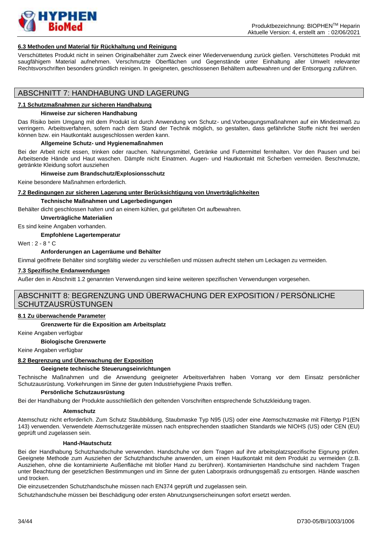

#### **6.3 Methoden und Material für Rückhaltung und Reinigung**

Verschüttetes Produkt nicht in seinen Originalbehälter zum Zweck einer Wiederverwendung zurück gießen. Verschüttetes Produkt mit saugfähigem Material aufnehmen. Verschmutzte Oberflächen und Gegenstände unter Einhaltung aller Umwelt relevanter Rechtsvorschriften besonders gründlich reinigen. In geeigneten, geschlossenen Behältern aufbewahren und der Entsorgung zuführen.

### ABSCHNITT 7: HANDHABUNG UND LAGERUNG

#### **7.1 Schutzmaßnahmen zur sicheren Handhabung**

#### **Hinweise zur sicheren Handhabung**

Das Risiko beim Umgang mit dem Produkt ist durch Anwendung von Schutz- und.Vorbeugungsmaßnahmen auf ein Mindestmaß zu verringern. Arbeitsverfahren, sofern nach dem Stand der Technik möglich, so gestalten, dass gefährliche Stoffe nicht frei werden können bzw. ein Hautkontakt ausgeschlossen werden kann.

#### **Allgemeine Schutz- und Hygienemaßnahmen**

Bei der Arbeit nicht essen, trinken oder rauchen. Nahrungsmittel, Getränke und Futtermittel fernhalten. Vor den Pausen und bei Arbeitsende Hände und Haut waschen. Dämpfe nicht Einatmen. Augen- und Hautkontakt mit Scherben vermeiden. Beschmutzte, getränkte Kleidung sofort ausziehen

#### **Hinweise zum Brandschutz/Explosionsschutz**

Keine besondere Maßnahmen erforderlich.

#### **7.2 Bedingungen zur sicheren Lagerung unter Berücksichtigung von Unverträglichkeiten**

#### **Technische Maßnahmen und Lagerbedingungen**

Behälter dicht geschlossen halten und an einem kühlen, gut gelüfteten Ort aufbewahren.

#### **Unverträgliche Materialien**

Es sind keine Angaben vorhanden.

**Empfohlene Lagertemperatur**

Wert : 2 - 8 ° C

#### **Anforderungen an Lagerräume und Behälter**

Einmal geöffnete Behälter sind sorgfältig wieder zu verschließen und müssen aufrecht stehen um Leckagen zu vermeiden.

### **7.3 Spezifische Endanwendungen**

Außer den in Abschnitt 1.2 genannten Verwendungen sind keine weiteren spezifischen Verwendungen vorgesehen.

# ABSCHNITT 8: BEGRENZUNG UND ÜBERWACHUNG DER EXPOSITION / PERSÖNLICHE SCHUTZAUSRÜSTUNGEN

#### **8.1 Zu überwachende Parameter**

**Grenzwerte für die Exposition am Arbeitsplatz**

Keine Angaben verfügbar

### **Biologische Grenzwerte**

Keine Angaben verfügbar

### **8.2 Begrenzung und Überwachung der Exposition**

#### **Geeignete technische Steuerungseinrichtungen**

Technische Maßnahmen und die Anwendung geeigneter Arbeitsverfahren haben Vorrang vor dem Einsatz persönlicher Schutzausrüstung. Vorkehrungen im Sinne der guten Industriehygiene Praxis treffen.

#### **Persönliche Schutzausrüstung**

Bei der Handhabung der Produkte ausschließlich den geltenden Vorschriften entsprechende Schutzkleidung tragen.

#### **Atemschutz**

Atemschutz nicht erforderlich. Zum Schutz Staubbildung, Staubmaske Typ N95 (US) oder eine Atemschutzmaske mit Filtertyp P1(EN 143) verwenden. Verwendete Atemschutzgeräte müssen nach entsprechenden staatlichen Standards wie NIOHS (US) oder CEN (EU) geprüft und zugelassen sein.

#### **Hand-/Hautschutz**

Bei der Handhabung Schutzhandschuhe verwenden. Handschuhe vor dem Tragen auf ihre arbeitsplatzspezifische Eignung prüfen. Geeignete Methode zum Ausziehen der Schutzhandschuhe anwenden, um einen Hautkontakt mit dem Produkt zu vermeiden (z.B. Ausziehen, ohne die kontaminierte Außenfläche mit bloßer Hand zu berühren). Kontaminierten Handschuhe sind nachdem Tragen unter Beachtung der gesetzlichen Bestimmungen und im Sinne der guten Laborpraxis ordnungsgemäß zu entsorgen. Hände waschen und trocken.

Die einzusetzenden Schutzhandschuhe müssen nach EN374 geprüft und zugelassen sein.

Schutzhandschuhe müssen bei Beschädigung oder ersten Abnutzungserscheinungen sofort ersetzt werden.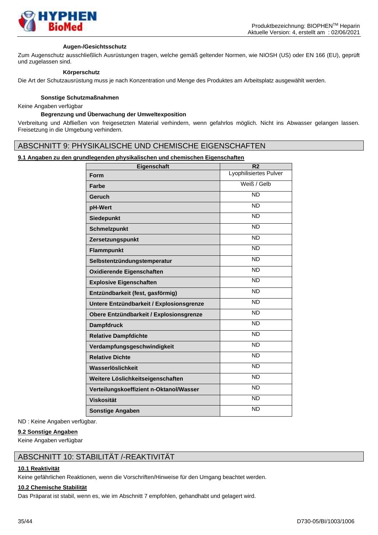

#### **Augen-/Gesichtsschutz**

Zum Augenschutz ausschließlich Ausrüstungen tragen, welche gemäß geltender Normen, wie NIOSH (US) oder EN 166 (EU), geprüft und zugelassen sind.

#### **Körperschutz**

Die Art der Schutzausrüstung muss je nach Konzentration und Menge des Produktes am Arbeitsplatz ausgewählt werden.

#### **Sonstige Schutzmaßnahmen**

Keine Angaben verfügbar

### **Begrenzung und Überwachung der Umweltexposition**

Verbreitung und Abfließen von freigesetzten Material verhindern, wenn gefahrlos möglich. Nicht ins Abwasser gelangen lassen. Freisetzung in die Umgebung verhindern.

### ABSCHNITT 9: PHYSIKALISCHE UND CHEMISCHE EIGENSCHAFTEN

### **9.1 Angaben zu den grundlegenden physikalischen und chemischen Eigenschaften**

| Eigenschaft                              | R <sub>2</sub>         |
|------------------------------------------|------------------------|
| Form                                     | Lyophilisiertes Pulver |
| <b>Farbe</b>                             | Weiß / Gelb            |
| Geruch                                   | <b>ND</b>              |
| pH-Wert                                  | <b>ND</b>              |
| <b>Siedepunkt</b>                        | <b>ND</b>              |
| <b>Schmelzpunkt</b>                      | <b>ND</b>              |
| Zersetzungspunkt                         | <b>ND</b>              |
| <b>Flammpunkt</b>                        | <b>ND</b>              |
| Selbstentzündungstemperatur              | <b>ND</b>              |
| Oxidierende Eigenschaften                | <b>ND</b>              |
| <b>Explosive Eigenschaften</b>           | <b>ND</b>              |
| Entzündbarkeit (fest, gasförmig)         | N <sub>D</sub>         |
| Untere Entzündbarkeit / Explosionsgrenze | <b>ND</b>              |
| Obere Entzündbarkeit / Explosionsgrenze  | <b>ND</b>              |
| <b>Dampfdruck</b>                        | <b>ND</b>              |
| <b>Relative Dampfdichte</b>              | <b>ND</b>              |
| Verdampfungsgeschwindigkeit              | <b>ND</b>              |
| <b>Relative Dichte</b>                   | <b>ND</b>              |
| Wasserlöslichkeit                        | <b>ND</b>              |
| Weitere Löslichkeitseigenschaften        | N <sub>D</sub>         |
| Verteilungskoeffizient n-Oktanol/Wasser  | <b>ND</b>              |
| <b>Viskosität</b>                        | <b>ND</b>              |
| <b>Sonstige Angaben</b>                  | <b>ND</b>              |

ND : Keine Angaben verfügbar.

#### **9.2 Sonstige Angaben**

Keine Angaben verfügbar

# ABSCHNITT 10: STABILITÄT /-REAKTIVITÄT

### **10.1 Reaktivität**

Keine gefährlichen Reaktionen, wenn die Vorschriften/Hinweise für den Umgang beachtet werden.

# **10.2 Chemische Stabilität**

Das Präparat ist stabil, wenn es, wie im Abschnitt 7 empfohlen, gehandhabt und gelagert wird.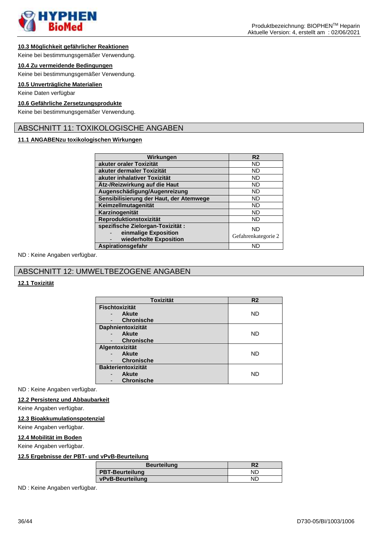

#### **10.3 Möglichkeit gefährlicher Reaktionen**

Keine bei bestimmungsgemäßer Verwendung.

### **10.4 Zu vermeidende Bedingungen**

Keine bei bestimmungsgemäßer Verwendung.

### **10.5 Unverträgliche Materialien**

Keine Daten verfügbar

#### **10.6 Gefährliche Zersetzungsprodukte**

Keine bei bestimmungsgemäßer Verwendung.

### ABSCHNITT 11: TOXIKOLOGISCHE ANGABEN

### **11.1 ANGABENzu toxikologischen Wirkungen**

| Wirkungen                                                                          | R <sub>2</sub>            |
|------------------------------------------------------------------------------------|---------------------------|
| akuter oraler Toxizität                                                            | <b>ND</b>                 |
| akuter dermaler Toxizität                                                          | <b>ND</b>                 |
| akuter inhalativer Toxizität                                                       | <b>ND</b>                 |
| Ätz-/Reizwirkung auf die Haut                                                      | <b>ND</b>                 |
| Augenschädigung/Augenreizung                                                       | <b>ND</b>                 |
| Sensibilisierung der Haut, der Atemwege                                            | <b>ND</b>                 |
| Keimzellmutagenität                                                                | <b>ND</b>                 |
| Karzinogenität                                                                     | <b>ND</b>                 |
| Reproduktionstoxizität                                                             | ND                        |
| spezifische Zielorgan-Toxizität:<br>einmalige Exposition<br>wiederholte Exposition | ND<br>Gefahrenkategorie 2 |
| Aspirationsgefahr                                                                  | <b>ND</b>                 |

ND : Keine Angaben verfügbar.

# ABSCHNITT 12: UMWELTBEZOGENE ANGABEN

### **12.1 Toxizität**

| <b>Toxizität</b>          | R <sub>2</sub> |
|---------------------------|----------------|
| <b>Fischtoxizität</b>     |                |
| <b>Akute</b>              | ND             |
| <b>Chronische</b>         |                |
| Daphnientoxizität         |                |
| Akute                     | ND             |
| <b>Chronische</b>         |                |
| Algentoxizität            |                |
| <b>Akute</b>              | ND             |
| <b>Chronische</b>         |                |
| <b>Bakterientoxizität</b> |                |
| <b>Akute</b>              | ND             |
| <b>Chronische</b>         |                |

ND : Keine Angaben verfügbar.

### **12.2 Persistenz und Abbaubarkeit**

Keine Angaben verfügbar.

#### **12.3 Bioakkumulationspotenzial**

Keine Angaben verfügbar.

#### **12.4 Mobilität im Boden**

Keine Angaben verfügbar.

### **12.5 Ergebnisse der PBT- und vPvB-Beurteilung**

| <b>Beurteilung</b>     | R2  |
|------------------------|-----|
| <b>PBT-Beurteilung</b> | NΓ  |
| vPvB-Beurteilung       | NE. |

ND : Keine Angaben verfügbar.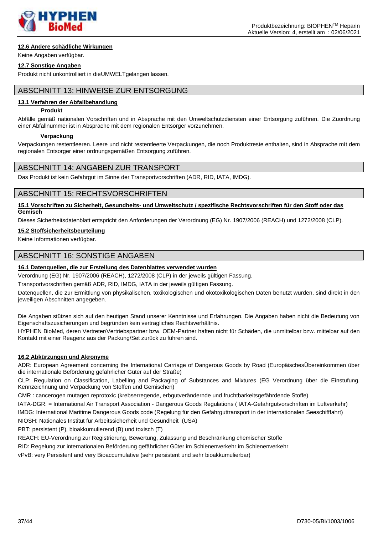

### **12.6 Andere schädliche Wirkungen**

Keine Angaben verfügbar.

### **12.7 Sonstige Angaben**

Produkt nicht unkontrolliert in dieUMWELTgelangen lassen.

# ABSCHNITT 13: HINWEISE ZUR ENTSORGUNG

### **13.1 Verfahren der Abfallbehandlung**

#### **Produkt**

Abfälle gemäß nationalen Vorschriften und in Absprache mit den Umweltschutzdiensten einer Entsorgung zuführen. Die Zuordnung einer Abfallnummer ist in Absprache mit dem regionalen Entsorger vorzunehmen.

#### **Verpackung**

Verpackungen restentleeren. Leere und nicht restentleerte Verpackungen, die noch Produktreste enthalten, sind in Absprache mit dem regionalen Entsorger einer ordnungsgemäßen Entsorgung zuführen.

### ABSCHNITT 14: ANGABEN ZUR TRANSPORT

Das Produkt ist kein Gefahrgut im Sinne der Transportvorschriften (ADR, RID, IATA, IMDG).

### ABSCHNITT 15: RECHTSVORSCHRIFTEN

**15.1 Vorschriften zu Sicherheit, Gesundheits- und Umweltschutz / spezifische Rechtsvorschriften für den Stoff oder das Gemisch**

Dieses Sicherheitsdatenblatt entspricht den Anforderungen der Verordnung (EG) Nr. 1907/2006 (REACH) und 1272/2008 (CLP).

#### **15.2 Stoffsicherheitsbeurteilung**

Keine Informationen verfügbar.

### ABSCHNITT 16: SONSTIGE ANGABEN

### **16.1 Datenquellen, die zur Erstellung des Datenblattes verwendet wurden**

Verordnung (EG) Nr. 1907/2006 (REACH), 1272/2008 (CLP) in der jeweils gültigen Fassung.

Transportvorschriften gemäß ADR, RID, IMDG, IATA in der jeweils gültigen Fassung.

Datenquellen, die zur Ermittlung von physikalischen, toxikologischen und ökotoxikologischen Daten benutzt wurden, sind direkt in den jeweiligen Abschnitten angegeben.

Die Angaben stützen sich auf den heutigen Stand unserer Kenntnisse und Erfahrungen. Die Angaben haben nicht die Bedeutung von Eigenschaftszusicherungen und begründen kein vertragliches Rechtsverhältnis.

HYPHEN BioMed, deren Vertreter/Vertriebspartner bzw. OEM-Partner haften nicht für Schäden, die unmittelbar bzw. mittelbar auf den Kontakt mit einer Reagenz aus der Packung/Set zurück zu führen sind.

### **16.2 Abkürzungen und Akronyme**

ADR: European Agreement concerning the International Carriage of Dangerous Goods by Road (EuropäischesÜbereinkommen über die internationale Beförderung gefährlicher Güter auf der Straße)

CLP: Regulation on Classification, Labelling and Packaging of Substances and Mixtures (EG Verordnung über die Einstufung, Kennzeichnung und Verpackung von Stoffen und Gemischen)

CMR : cancerogen mutagen reprotoxic (krebserregende, erbgutverändernde und fruchtbarkeitsgefährdende Stoffe)

IATA-DGR: = International Air Transport Association - Dangerous Goods Regulations ( IATA-Gefahrgutvorschriften im Luftverkehr)

IMDG: International Maritime Dangerous Goods code (Regelung für den Gefahrguttransport in der internationalen Seeschifffahrt)

NIOSH: Nationales Institut für Arbeitssicherheit und Gesundheit (USA)

PBT: persistent (P), bioakkumulierend (B) und toxisch (T)

REACH: EU-Verordnung zur Registrierung, Bewertung, Zulassung und Beschränkung chemischer Stoffe

RID: Regelung zur internationalen Beförderung gefährlicher Güter im Schienenverkehr im Schienenverkehr

vPvB: very Persistent and very Bioaccumulative (sehr persistent und sehr bioakkumulierbar)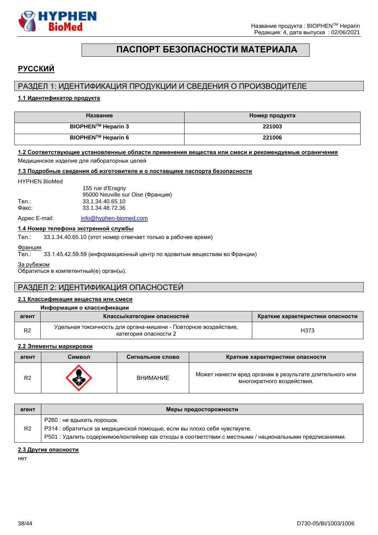

# **ПАСПОРТ БЕЗОПАСНОСТИ МАТЕРИАЛА**

# <span id="page-37-0"></span>**РУССКИЙ**

# РАЗДЕЛ 1: ИДЕНТИФИКАЦИЯ ПРОДУКЦИИ И СВЕДЕНИЯ О ПРОИЗВОДИТЕЛЕ

### **1.1 Идентификатор продукта**

| Название           | Иомер продукта |
|--------------------|----------------|
| BIOPHEN™ Heparin 3 | 221003         |
| BIOPHEN™ Heparin 6 | 221006         |

#### **1.2 Соответствующие установленные области применения вещества или смеси и рекомендуемые ограничения**

Медицинское изделие для лабораторных целей

#### **1.3 Подробные сведения об изготовителе и о поставщике паспорта безопасности**

#### HYPHEN BioMed

|       | 155 rue d'Eragny<br>95000 Neuville sur Oise (Франция) |
|-------|-------------------------------------------------------|
| Тел.: | 33.1.34.40.65.10                                      |
| Факс: | 33.1.34.48.72.36                                      |
|       |                                                       |

Адрес E-mail: [info@hyphen-biomed.com](mailto:info@hyphen-biomed.com)

#### **1.4 Номер телефона экстренной службы**

Тел.: 33.1.34.40.65.10 (этот номер отвечает только в рабочее время)

### Франция

Тел.: 33.1.45.42.59.59 (информационный центр по ядовитым веществам во Франции)

За рубежом

Обратиться в компетентный(е) орган(ы).

# РАЗДЕЛ 2: ИДЕНТИФИКАЦИЯ ОПАСНОСТЕЙ

### **2.1 Классификация вещества или смеси**

### **Информация о классификации**

| агент          | Классы/категории опасностей                                                              | Краткие характеристики опасности |
|----------------|------------------------------------------------------------------------------------------|----------------------------------|
| R <sub>2</sub> | Удельная токсичность для органа-мишени - Повторное воздействие,<br>категория опасности 2 | H373                             |

### **2.2 Элементы маркировки**

| агент          | Символ | Сигнальное слово | Краткие характеристики опасности                                                      |
|----------------|--------|------------------|---------------------------------------------------------------------------------------|
| R <sub>2</sub> |        | <b>ВНИМАНИЕ</b>  | Может нанести вред органам в результате длительного или<br>многократного воздействия. |

| агент          | Меры предосторожности                                                                                                                                                                                             |
|----------------|-------------------------------------------------------------------------------------------------------------------------------------------------------------------------------------------------------------------|
| R <sub>2</sub> | Р260 : не вдыхать порошок.<br>РЗ14 : обратиться за медицинской помощью, если вы плохо себя чувствуете.<br>Р501 : Удалить содержимое/контейнер как отходы в соответствии с местными / национальными предписаниями. |

#### **2.3 Другие опасности**

нет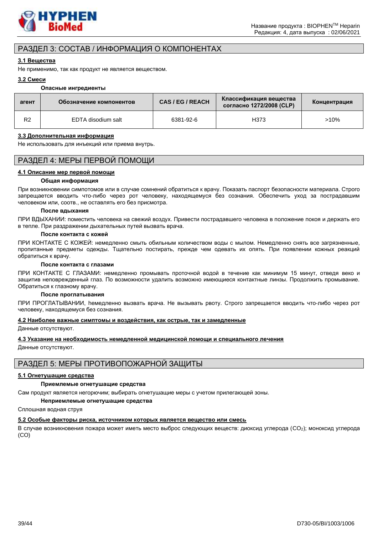

# РАЗДЕЛ 3: СОСТАВ / ИНФОРМАЦИЯ О КОМПОНЕНТАХ

### **3.1 Вещества**

Не применимо, так как продукт не является веществом.

### **3.2 Смеси**

#### **Опасные ингредиенты**

| агент | Обозначение компонентов | CAS/EG/REACH | Классификация вещества<br>согласно 1272/2008 (CLP) | Концентрация |
|-------|-------------------------|--------------|----------------------------------------------------|--------------|
| R2    | EDTA disodium salt      | 6381-92-6    | H373                                               | >10%         |

### **3.3 Дополнительная информация**

Не использовать для инъекций или приема внутрь.

# РАЗДЕЛ 4: МЕРЫ ПЕРВОЙ ПОМОЩИ

#### **4.1 Описание мер первой помощи**

#### **Общая информация**

При возникновении cимпотомов или в случае сомнений обратиться к врачу. Показать паспорт безопасности материала. Строго запрещается вводить что-либо через рот человеку, находящемуся без сознания. Обеспечить уход за пострадавшим человеком или, соотв., не оставлять его без присмотра.

#### **После вдыхания**

ПРИ ВДЫХАНИИ: поместить человека на свежий воздух. Привести пострадавшего человека в положение покоя и держать его в тепле. При раздражении дыхательных путей вызвать врача.

### **После контакта с кожей**

ПРИ КОНТАКТЕ С КОЖЕЙ: немедленно смыть обильным количеством воды с мылом. Немедленно снять все загрязненные, пропитанные предметы одежды. Тщательно постирать, прежде чем одевать их опять. При появлении кожных реакций обратиться к врачу.

#### **После контакта с глазами**

ПРИ КОНТАКТЕ С ГЛАЗАМИ: немедленно промывать проточной водой в течение как минимум 15 минут, отведя веко и защитив неповрежденный глаз. По возможности удалить возможно имеющиеся контактные линзы. Продолжить промывание. Обратиться к глазному врачу.

#### **После проглатывания**

ПРИ ПРОГЛАТЫВАНИИ, hемедленно вызвать врача. Не вызывать рвоту. Строго запрещается вводить что-либо через рот человеку, находящемуся без сознания.

### **4.2 Наиболее важные симптомы и воздействия, как острые, так и замедленные**

Данные отсутствуют.

### **4.3 Указание на необходимость немедленной медицинской помощи и специального лечения**

Данные отсутствуют.

# РАЗДЕЛ 5: МЕРЫ ПРОТИВОПОЖАРНОЙ ЗАЩИТЫ

### **5.1 Огнетушащие средства**

### **Приемлемые огнетушащие средства**

Сам продукт является негорючим; выбирать огнетушащие меры с учетом прилегающей зоны.

#### **Неприемлемые огнетушащие средства**

Сплошная водная струя

### **5.2 Особые факторы риска, источником которых является вещество или смесь**

В случае возникновения пожара может иметь место выброс следующих веществ: диоксид углерода (CO2); моноксид углерода (CO)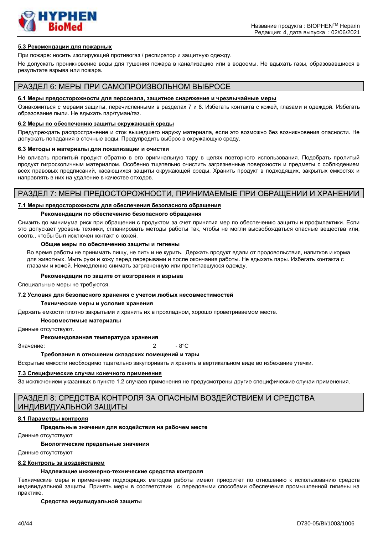

#### **5.3 Рекомендации для пожарных**

При пожаре: носить изолирующий противогаз / респиратор и защитную одежду.

Не допускать проникновение воды для тушения пожара в канализацию или в водоемы. Не вдыхать газы, образовавшиеся в результате взрыва или пожара.

### РАЗДЕЛ 6: МЕРЫ ПРИ САМОПРОИЗВОЛЬНОМ ВЫБРОСЕ

#### **6.1 Меры предосторожности для персонала, защитное снаряжение и чрезвычайные меры**

Ознакомиться с мерами защиты, перечисленными в разделах 7 и 8. Избегать контакта с кожей, глазами и одеждой. Избегать образование пыли. Не вдыхать пар/туман/газ.

#### **6.2 Меры по обеспечению защиты окружающей среды**

Предупреждать распространение и сток вышедшего наружу материала, если это возможно без возникновения опасности. Не допускать попадания в сточные воды. Предупредить выброс в окружающую среду.

#### **6.3 Методы и материалы для локализации и очистки**

Не вливать пролитый продукт обратно в его оригинальную тару в целях повторного использования. Подобрать пролитый продукт гигроскопичным материалом. Особенно тщательно очистить загрязненные поверхности и предметы с соблюдением всех правовых предписаний, касающихся защиты окружающей среды. Хранить продукт в подходящих, закрытых емкостях и направлять в них на удаление в качестве отходов.

# РАЗДЕЛ 7: МЕРЫ ПРЕДОСТОРОЖНОСТИ, ПРИНИМАЕМЫЕ ПРИ ОБРАЩЕНИИ И ХРАНЕНИИ

#### **7.1 Меры предосторожности для обеспечения безопасного обращения**

#### **Рекомендации по обеспечению безопасного обращения**

Снизить до минимума риск при обращении с продуктом за счет принятия мер по обеспечению защиты и профилактики. Если это допускает уровень техники, спланировать методы работы так, чтобы не могли высвобождаться опасные вещества или, соотв., чтобы был исключен контакт с кожей.

#### **Общие меры по обеспечению защиты и гигиены**

Во время работы не принимать пищу, не пить и не курить. Держать продукт вдали от продовольствия, напитков и корма для животных. Мыть руки и кожу перед перерывами и после окончания работы. Не вдыхать пары. Избегать контакта с глазами и кожей. Немедленно снимать загрязненную или пропитавшуюся одежду.

#### **Рекомендации по защите от возгорания и взрыва**

Специальные меры не требуются.

#### **7.2 Условия для безопасного хранения с учетом любых несовместимостей**

#### **Технические меры и условия хранения**

Держать емкости плотно закрытыми и хранить их в прохладном, хорошо проветриваемом месте.

#### **Несовместимые материалы**

Данные отсутствуют.

#### **Рекомендованная температура хранения**

Значение: 2 - 8°C

#### **Требования в отношении складских помещений и тары**

Вскрытые емкости необходимо тщательно закупоривать и хранить в вертикальном виде во избежание утечки.

#### **7.3 Специфические случаи конечного применения**

За исключением указанных в пункте 1.2 случаев применения не предусмотрены другие специфические случаи применения.

# РАЗДЕЛ 8: СРЕДСТВА КОНТРОЛЯ ЗА ОПАСНЫМ ВОЗДЕЙСТВИЕМ И СРЕДСТВА ИНДИВИДУАЛЬНОЙ ЗАЩИТЫ

#### **8.1 Параметры контроля**

#### **Предельные значения для воздействия на рабочем месте**

Данные отсутствуют

#### **Биологические предельные значения**

Данные отсутствуют

#### **8.2 Контроль за воздействием**

#### **Надлежащие инженерно-технические средства контроля**

Технические меры и применение подходящих методов работы имеют приоритет по отношению к использованию средств индивидуальной защиты. Принять меры в соответствии с передовыми способами обеспечения промышленной гигиены на практике.

#### **Средства индивидуальной защиты**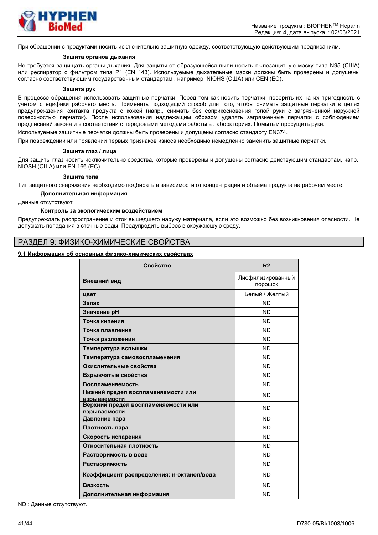

При обращении с продуктами носить исключительно защитную одежду, соответствующую действующим предписаниям.

#### **Защита органов дыхания**

Не требуется защищать органы дыхания. Для защиты от образующейся пыли носить пылезащитную маску типа N95 (США) или респиратор с фильтром типа P1 (EN 143). Используемые дыхательные маски должны быть проверены и допущены согласно соответствующим государственным стандартам , например, NIOHS (США) или CEN (EС).

#### **Защита рук**

В процессе обращения использовать защитные перчатки. Перед тем как носить перчатки, поверить их на их пригодность с учетом специфики рабочего места. Применять подходящий способ для того, чтобы снимать защитные перчатки в целях предупреждения контакта продукта с кожей (напр., снимать без соприкосновения голой руки с загрязненной наружной поверхностью перчаток). После использования надлежащим образом удалять загрязненные перчатки с соблюдением предписаний закона и в соответствии с передовыми методами работы в лабораториях. Помыть и просущить руки.

Используемые защитные перчатки должны быть проверены и допущены согласно стандарту EN374.

При повреждении или появлении первых признаков износа необходимо немедленно заменить защитные перчатки.

#### **Защита глаз / лица**

Для защиты глаз носить исключительно средства, которые проверены и допущены согласно действующим стандартам, напр., NIOSH (США) или EN 166 (EС).

#### **Защита тела**

Тип защитного снаряжения необходимо подбирать в зависимости от концентрации и объема продукта на рабочем месте.

#### **Дополнительная информация**

Данные отсутствуют

#### **Контроль за экологическим воздействием**

Предупреждать распространение и сток вышедшего наружу материала, если это возможно без возникновения опасности. Не допускать попадания в сточные воды. Предупредить выброс в окружающую среду.

### РАЗДЕЛ 9: ФИЗИКО-ХИМИЧЕСКИЕ СВОЙСТВА

#### **9.1 Информация об основных физико-химических свойствах**

| Свойство                                                  | R <sub>2</sub>               |
|-----------------------------------------------------------|------------------------------|
| Внешний вид                                               | Лиофилизированный<br>порошок |
| цвет                                                      | Белый / Желтый               |
| Запах                                                     | <b>ND</b>                    |
| Значение рН                                               | <b>ND</b>                    |
| Точка кипения                                             | ND.                          |
| Точка плавления                                           | <b>ND</b>                    |
| Точка разложения                                          | <b>ND</b>                    |
| Температура вспышки                                       | <b>ND</b>                    |
| Температура самовоспламенения                             | <b>ND</b>                    |
| Окислительные свойства                                    | <b>ND</b>                    |
| Взрывчатые свойства                                       | <b>ND</b>                    |
| Воспламеняемость                                          | <b>ND</b>                    |
| Нижний предел воспламеняемости или<br><b>взрываемости</b> | <b>ND</b>                    |
| Верхний предел воспламеняемости или<br>взрываемости       | <b>ND</b>                    |
| Давление пара                                             | <b>ND</b>                    |
| Плотность пара                                            | <b>ND</b>                    |
| Скорость испарения                                        | <b>ND</b>                    |
| Относительная плотность                                   | <b>ND</b>                    |
| Растворимость в воде                                      | <b>ND</b>                    |
| Растворимость                                             | <b>ND</b>                    |
| Коэффициент распределения: n-октанол/вода                 | <b>ND</b>                    |
| Вязкость                                                  | <b>ND</b>                    |
| Дополнительная информация                                 | <b>ND</b>                    |

ND : Данные отсутствуют.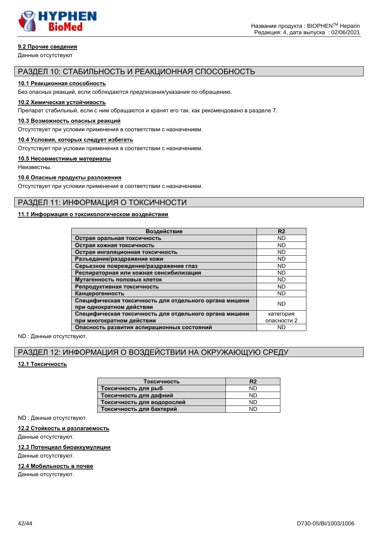

### **9.2 Прочие сведения**

Данные отсутствуют

### РАЗДЕЛ 10: СТАБИЛЬНОСТЬ И РЕАКЦИОННАЯ СПОСОБНОСТЬ

#### **10.1 Реакционная способность**

Без опасных реакций, если соблюдаются предписания/указания по обращению.

#### **10.2 Химическая устойчивость**

Препарат стабильный, если с ним обращаются и хранят его так. как рекомендовано в разделе 7.

#### **10.3 Возможность опасных реакций**

Отсутствует при условии применения в соответствии с назначением.

#### **10.4 Условия, которых следует избегать**

Отсутствует при условии применения в соответствии с назначением.

#### **10.5 Несовместимые материалы**

Неизвестны.

### **10.6 Опасные продукты разложения**

Отсутствует при условии применения в соответствии с назначением.

### РАЗДЕЛ 11: ИНФОРМАЦИЯ О ТОКСИЧНОСТИ

### **11.1 Информация о токсикологическом воздействии**

| Воздействие                                                                        | R <sub>2</sub> |
|------------------------------------------------------------------------------------|----------------|
| Острая оральная токсичность                                                        | <b>ND</b>      |
| Острая кожная токсичность                                                          | <b>ND</b>      |
| Острая ингаляционная токсичность                                                   | <b>ND</b>      |
| Разъедание/раздражение кожи                                                        | <b>ND</b>      |
| Серьезное повреждение/раздражение глаз                                             | <b>ND</b>      |
| Респираторная или кожная сенсибилизация                                            | <b>ND</b>      |
| Мутагенность половых клеток                                                        | <b>ND</b>      |
| Репродуктивная токсичность                                                         | <b>ND</b>      |
| Канцерогенность                                                                    | <b>ND</b>      |
| Специфическая токсичность для отдельного органа мишени<br>при однократном действии | <b>ND</b>      |
| Специфическая токсичность для отдельного органа мишени                             | категория      |
| при многократном действии                                                          | опасности 2    |
| Опасность развития аспирационных состояний                                         | <b>ND</b>      |

ND : Данные отсутствуют.

# РАЗДЕЛ 12: ИНФОРМАЦИЯ О ВОЗДЕЙСТВИИ НА ОКРУЖАЮЩУЮ СРЕДУ

### **12.1 Токсичность**

| Токсичность                | R <sub>2</sub> |
|----------------------------|----------------|
| Токсичность для рыб        | ND             |
| Токсичность для дафний     | ND             |
| Токсичность для водорослей | ND             |
| Токсичность для бактерий   | <b>ND</b>      |

ND : Данные отсутствуют.

#### **12.2 Стойкость и разлагаемость**

Данные отсутствуют.

#### **12.3 Потенциал биоаккумуляции**

Данные отсутствуют.

#### **12.4 Мобильность в почве**

Данные отсутствуют.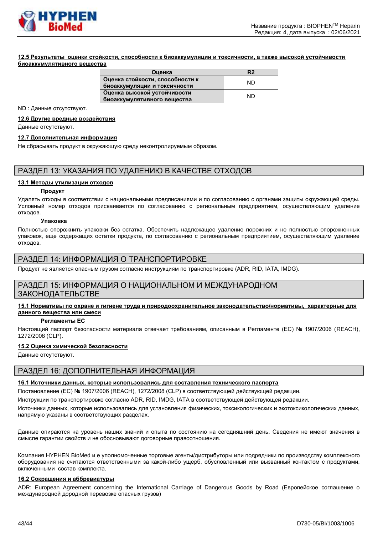

#### **12.5 Результаты оценки стойкости, способности к биоаккумуляции и токсичности, а также высокой устойчивости биоаккумулятивного вещества**

| Оценка                          | R <sub>2</sub> |  |
|---------------------------------|----------------|--|
| Оценка стойкости, способности к | ND             |  |
| биоаккумуляции и токсичности    |                |  |
| Оценка высокой устойчивости     | ND             |  |
| биоаккумулятивного вещества     |                |  |

ND : Данные отсутствуют.

#### **12.6 Другие вредные воздействия**

Данные отсутствуют.

#### **12.7 Дополнительная информация**

Не сбрасывать продукт в окружающую среду неконтролируемым образом.

# РАЗДЕЛ 13: УКАЗАНИЯ ПО УДАЛЕНИЮ В КАЧЕСТВЕ ОТХОДОВ

#### **13.1 Методы утилизации отходов**

#### **Продукт**

Удалять отходы в соответствии с национальными предписаниями и по согласованию с органами защиты окружающей среды. Условный номер отходов присваивается по согласованию с региональным предприятием, осуществляющим удаление отходов.

#### **Упаковка**

Полностью опорожнить упаковки без остатка. Обеспечить надлежащее удаление порожних и не полностью опорожненных упаковок, еще содержащих остатки продукта, по согласованию с региональным предприятием, осуществляющим удаление отходов.

### РАЗДЕЛ 14: ИНФОРМАЦИЯ О ТРАНСПОРТИРОВКЕ

Продукт не является опасным грузом согласно инструкциям по транспортировке (ADR, RID, IATA, IMDG).

# РАЗДЕЛ 15: ИНФОРМАЦИЯ О НАЦИОНАЛЬНОМ И МЕЖДУНАРОДНОМ ЗАКОНОДАТЕЛЬСТВЕ

#### **15.1 Нормативы по охране и гигиене труда и природоохранительное законодательство/нормативы, характерные для данного вещества или смеси**

#### **Регламенты ЕС**

Настоящий паспорт безопасности материала отвечает требованиям, описанным в Регламенте (ЕС) № 1907/2006 (REACH), 1272/2008 (CLP).

#### **15.2 Оценка химической безопасности**

Данные отсутствуют.

# РАЗДЕЛ 16: ДОПОЛНИТЕЛЬНАЯ ИНФОРМАЦИЯ

#### **16.1 Источники данных, которые использовались для составления технического паспорта**

Постановление (EС) № 1907/2006 (REACH), 1272/2008 (CLP) в соответствующей действующей редакции.

Инструкции по транспортировке согласно ADR, RID, IMDG, IATA в соответствующей действующей редакции.

Источники данных, которые использовались для установления физических, токсикологических и экотоксикологических данных, напрямую указаны в соответствующих разделах.

Данные опираются на уровень наших знаний и опыта по состоянию на сегодняшний день. Сведения не имеют значения в смысле гарантии свойств и не обосновывают договорные правоотношения.

Компания HYPHEN BioMed и е уполномоченные торговые агенты/дистрибуторы или подрядчики по производству комплексного оборудования не считаются ответственными за какой-либо ущерб, обусловленный или вызванный контактом с продуктами, включенными состав комплекта.

#### **16.2 Сокращения и аббревиатуры**

ADR: European Agreement concerning the International Carriage of Dangerous Goods by Road (Европейское соглашение о международной дородной перевозке опасных грузов)